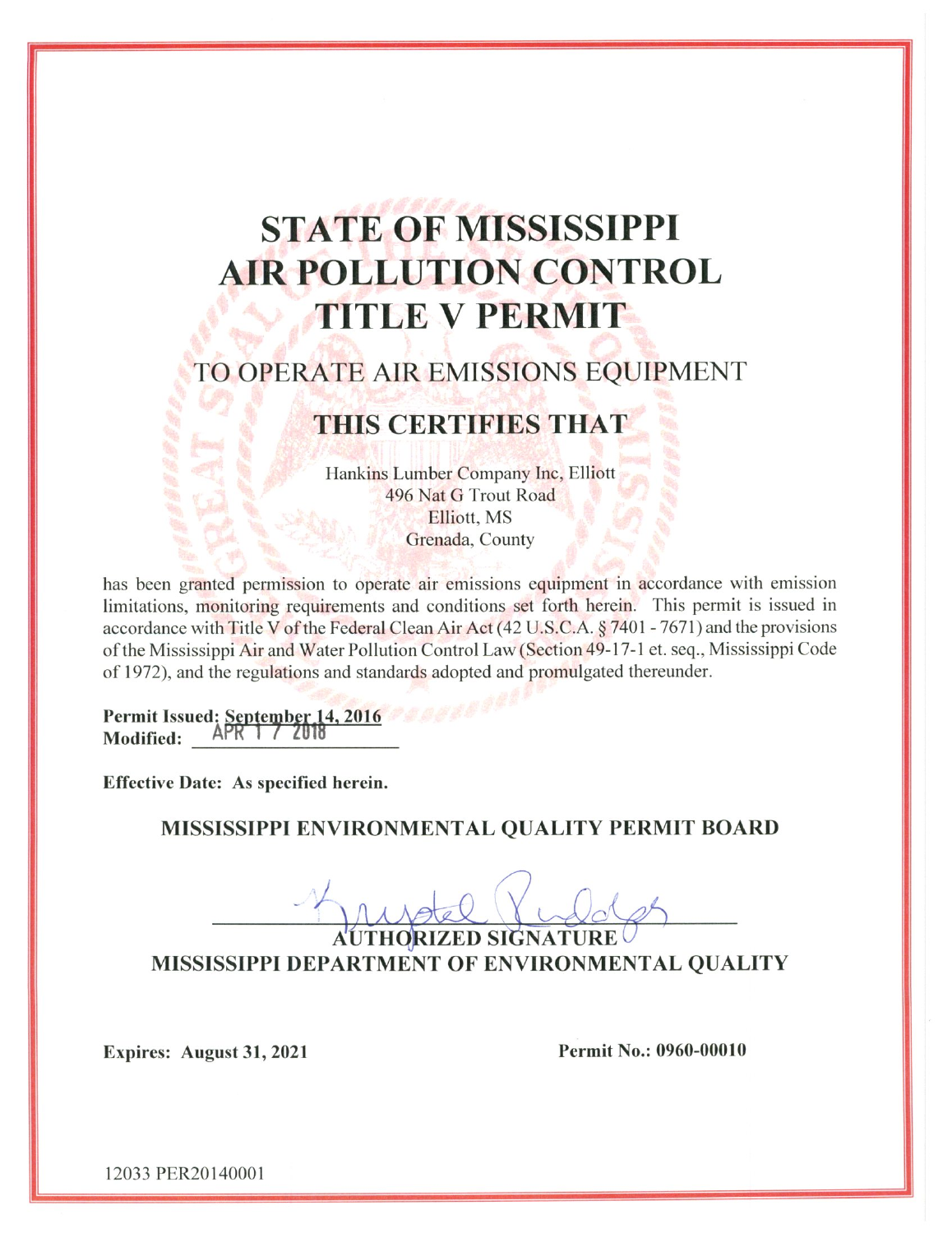# **STATE OF MISSISSIPPI AIR POLLUTION CONTROL TITLE V PERMIT**

# TO OPERATE AIR EMISSIONS EQUIPMENT

# THIS CERTIFIES THAT

Hankins Lumber Company Inc, Elliott 496 Nat G Trout Road Elliott, MS Grenada, County

has been granted permission to operate air emissions equipment in accordance with emission limitations, monitoring requirements and conditions set forth herein. This permit is issued in accordance with Title V of the Federal Clean Air Act (42 U.S.C.A. § 7401 - 7671) and the provisions of the Mississippi Air and Water Pollution Control Law (Section 49-17-1 et. seq., Mississippi Code of 1972), and the regulations and standards adopted and promulgated thereunder.

Permit Issued: September 14, 2016  $APR$   $1 / 2010$ **Modified:** 

**Effective Date: As specified herein.** 

MISSISSIPPI ENVIRONMENTAL QUALITY PERMIT BOARD

MISSISSIPPI DEPARTMENT OF ENVIRONMENTAL QUALITY

Expires: August 31, 2021

Permit No.: 0960-00010

12033 PER20140001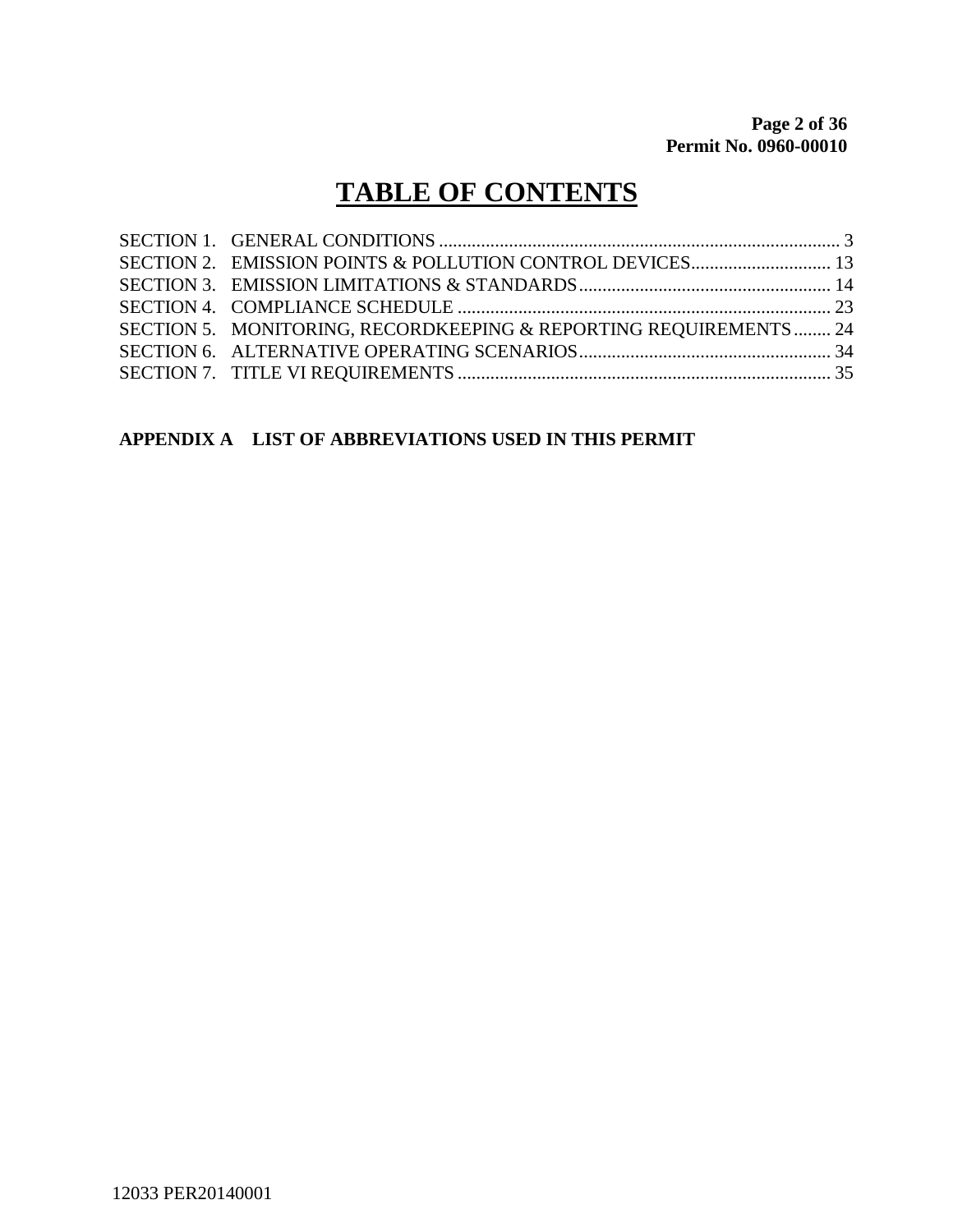# **TABLE OF CONTENTS**

| SECTION 5. MONITORING, RECORDKEEPING & REPORTING REQUIREMENTS 24 |  |
|------------------------------------------------------------------|--|
|                                                                  |  |
|                                                                  |  |
|                                                                  |  |

## **APPENDIX A LIST OF ABBREVIATIONS USED IN THIS PERMIT**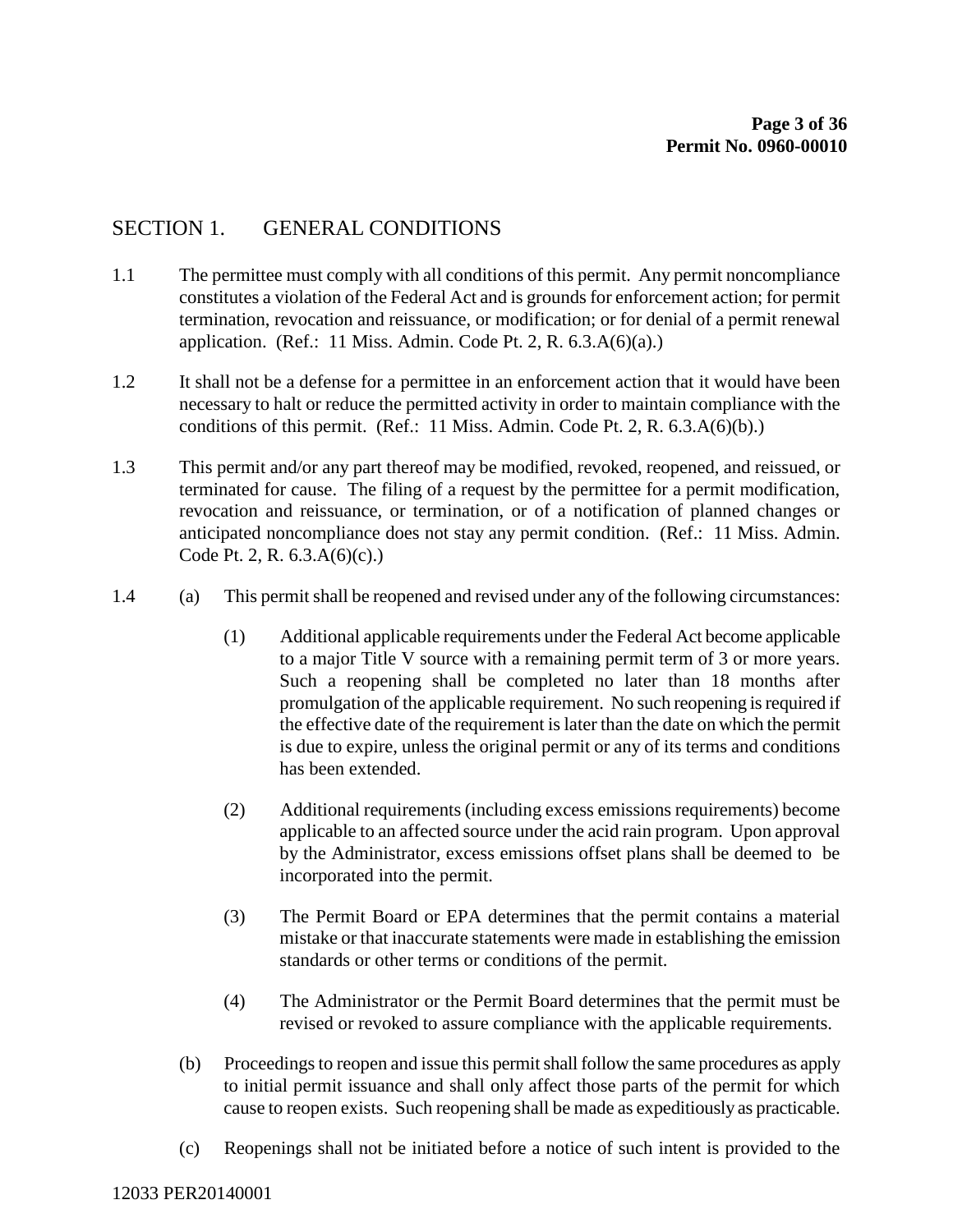### SECTION 1. GENERAL CONDITIONS

- 1.1 The permittee must comply with all conditions of this permit. Any permit noncompliance constitutes a violation of the Federal Act and is grounds for enforcement action; for permit termination, revocation and reissuance, or modification; or for denial of a permit renewal application. (Ref.: 11 Miss. Admin. Code Pt. 2, R. 6.3.A(6)(a).)
- 1.2 It shall not be a defense for a permittee in an enforcement action that it would have been necessary to halt or reduce the permitted activity in order to maintain compliance with the conditions of this permit. (Ref.: 11 Miss. Admin. Code Pt. 2, R. 6.3.A(6)(b).)
- 1.3 This permit and/or any part thereof may be modified, revoked, reopened, and reissued, or terminated for cause. The filing of a request by the permittee for a permit modification, revocation and reissuance, or termination, or of a notification of planned changes or anticipated noncompliance does not stay any permit condition. (Ref.: 11 Miss. Admin. Code Pt. 2, R. 6.3.A(6)(c).)
- 1.4 (a) This permit shall be reopened and revised under any of the following circumstances:
	- (1) Additional applicable requirements under the Federal Act become applicable to a major Title V source with a remaining permit term of 3 or more years. Such a reopening shall be completed no later than 18 months after promulgation of the applicable requirement. No such reopening is required if the effective date of the requirement is later than the date on which the permit is due to expire, unless the original permit or any of its terms and conditions has been extended.
	- (2) Additional requirements (including excess emissions requirements) become applicable to an affected source under the acid rain program. Upon approval by the Administrator, excess emissions offset plans shall be deemed to be incorporated into the permit.
	- (3) The Permit Board or EPA determines that the permit contains a material mistake or that inaccurate statements were made in establishing the emission standards or other terms or conditions of the permit.
	- (4) The Administrator or the Permit Board determines that the permit must be revised or revoked to assure compliance with the applicable requirements.
	- (b) Proceedings to reopen and issue this permit shall follow the same procedures as apply to initial permit issuance and shall only affect those parts of the permit for which cause to reopen exists. Such reopening shall be made as expeditiously as practicable.
	- (c) Reopenings shall not be initiated before a notice of such intent is provided to the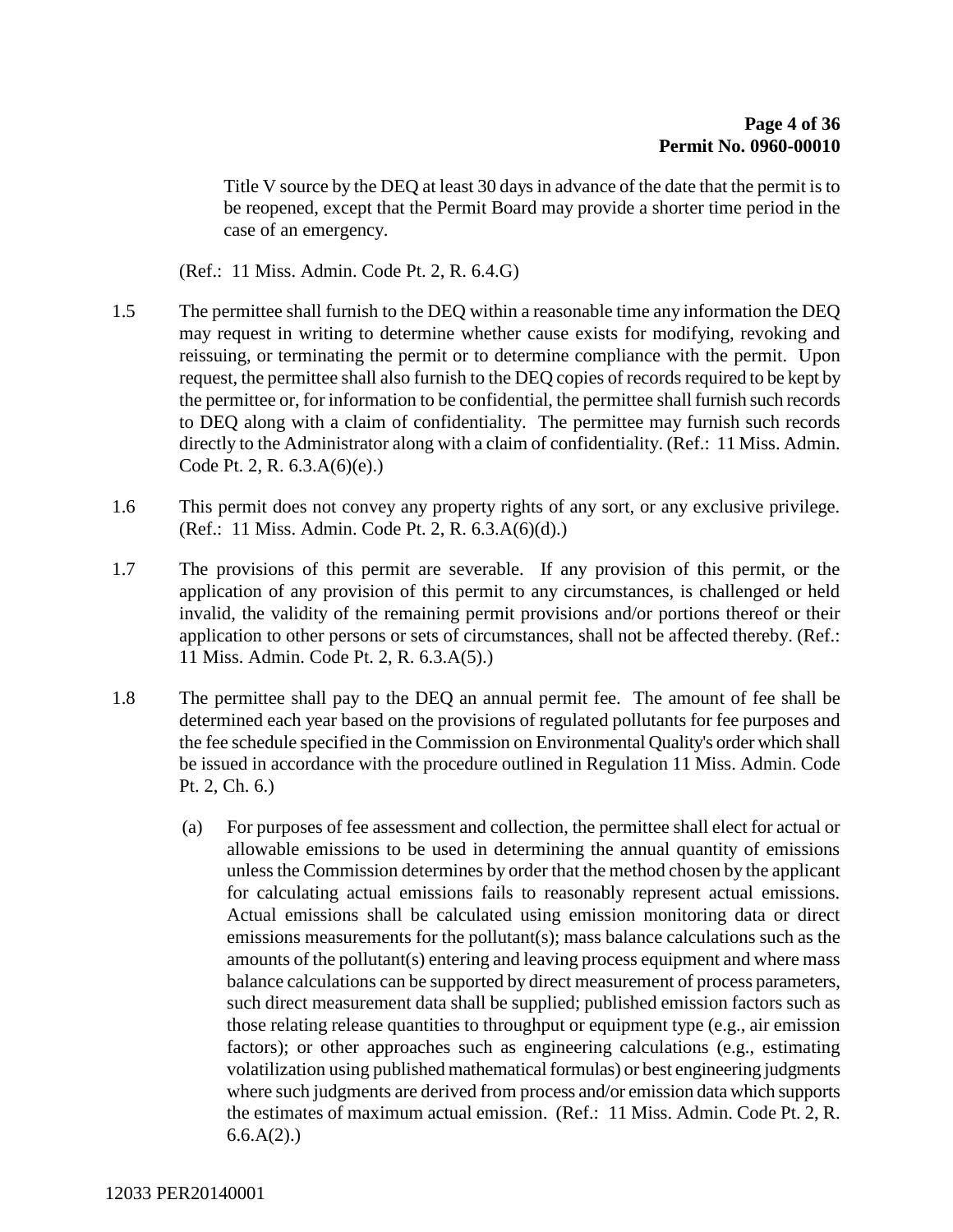Title V source by the DEQ at least 30 days in advance of the date that the permit is to be reopened, except that the Permit Board may provide a shorter time period in the case of an emergency.

(Ref.: 11 Miss. Admin. Code Pt. 2, R. 6.4.G)

- 1.5 The permittee shall furnish to the DEQ within a reasonable time any information the DEQ may request in writing to determine whether cause exists for modifying, revoking and reissuing, or terminating the permit or to determine compliance with the permit. Upon request, the permittee shall also furnish to the DEQ copies of records required to be kept by the permittee or, for information to be confidential, the permittee shall furnish such records to DEQ along with a claim of confidentiality. The permittee may furnish such records directly to the Administrator along with a claim of confidentiality. (Ref.: 11 Miss. Admin. Code Pt. 2, R. 6.3.A(6)(e).)
- 1.6 This permit does not convey any property rights of any sort, or any exclusive privilege. (Ref.: 11 Miss. Admin. Code Pt. 2, R. 6.3.A(6)(d).)
- 1.7 The provisions of this permit are severable. If any provision of this permit, or the application of any provision of this permit to any circumstances, is challenged or held invalid, the validity of the remaining permit provisions and/or portions thereof or their application to other persons or sets of circumstances, shall not be affected thereby. (Ref.: 11 Miss. Admin. Code Pt. 2, R. 6.3.A(5).)
- 1.8 The permittee shall pay to the DEQ an annual permit fee. The amount of fee shall be determined each year based on the provisions of regulated pollutants for fee purposes and the fee schedule specified in the Commission on Environmental Quality's order which shall be issued in accordance with the procedure outlined in Regulation 11 Miss. Admin. Code Pt. 2, Ch. 6.)
	- (a) For purposes of fee assessment and collection, the permittee shall elect for actual or allowable emissions to be used in determining the annual quantity of emissions unless the Commission determines by order that the method chosen by the applicant for calculating actual emissions fails to reasonably represent actual emissions. Actual emissions shall be calculated using emission monitoring data or direct emissions measurements for the pollutant(s); mass balance calculations such as the amounts of the pollutant(s) entering and leaving process equipment and where mass balance calculations can be supported by direct measurement of process parameters, such direct measurement data shall be supplied; published emission factors such as those relating release quantities to throughput or equipment type (e.g., air emission factors); or other approaches such as engineering calculations (e.g., estimating volatilization using published mathematical formulas) or best engineering judgments where such judgments are derived from process and/or emission data which supports the estimates of maximum actual emission. (Ref.: 11 Miss. Admin. Code Pt. 2, R.  $6.6.A(2)$ .)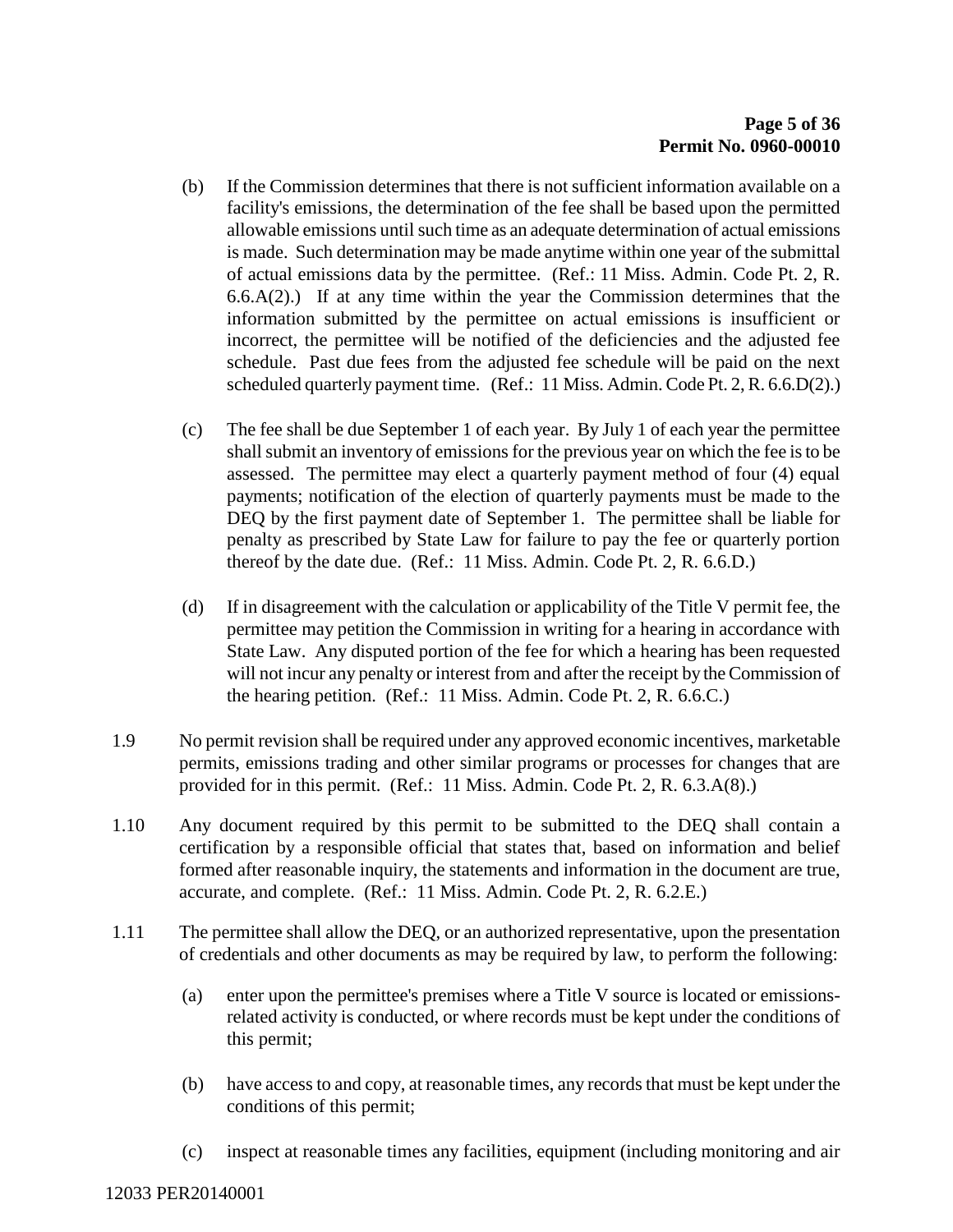- (b) If the Commission determines that there is not sufficient information available on a facility's emissions, the determination of the fee shall be based upon the permitted allowable emissions until such time as an adequate determination of actual emissions is made. Such determination may be made anytime within one year of the submittal of actual emissions data by the permittee. (Ref.: 11 Miss. Admin. Code Pt. 2, R.  $6.6(A(2))$  If at any time within the year the Commission determines that the information submitted by the permittee on actual emissions is insufficient or incorrect, the permittee will be notified of the deficiencies and the adjusted fee schedule. Past due fees from the adjusted fee schedule will be paid on the next scheduled quarterly payment time. (Ref.: 11 Miss. Admin. Code Pt. 2, R. 6.6.D(2).)
- (c) The fee shall be due September 1 of each year. By July 1 of each year the permittee shall submit an inventory of emissions for the previous year on which the fee is to be assessed. The permittee may elect a quarterly payment method of four (4) equal payments; notification of the election of quarterly payments must be made to the DEQ by the first payment date of September 1. The permittee shall be liable for penalty as prescribed by State Law for failure to pay the fee or quarterly portion thereof by the date due. (Ref.: 11 Miss. Admin. Code Pt. 2, R. 6.6.D.)
- (d) If in disagreement with the calculation or applicability of the Title V permit fee, the permittee may petition the Commission in writing for a hearing in accordance with State Law. Any disputed portion of the fee for which a hearing has been requested will not incur any penalty or interest from and after the receipt by the Commission of the hearing petition. (Ref.: 11 Miss. Admin. Code Pt. 2, R. 6.6.C.)
- 1.9 No permit revision shall be required under any approved economic incentives, marketable permits, emissions trading and other similar programs or processes for changes that are provided for in this permit. (Ref.: 11 Miss. Admin. Code Pt. 2, R. 6.3.A(8).)
- 1.10 Any document required by this permit to be submitted to the DEQ shall contain a certification by a responsible official that states that, based on information and belief formed after reasonable inquiry, the statements and information in the document are true, accurate, and complete. (Ref.: 11 Miss. Admin. Code Pt. 2, R. 6.2.E.)
- 1.11 The permittee shall allow the DEQ, or an authorized representative, upon the presentation of credentials and other documents as may be required by law, to perform the following:
	- (a) enter upon the permittee's premises where a Title V source is located or emissionsrelated activity is conducted, or where records must be kept under the conditions of this permit;
	- (b) have access to and copy, at reasonable times, any records that must be kept under the conditions of this permit;
	- (c) inspect at reasonable times any facilities, equipment (including monitoring and air

#### 12033 PER20140001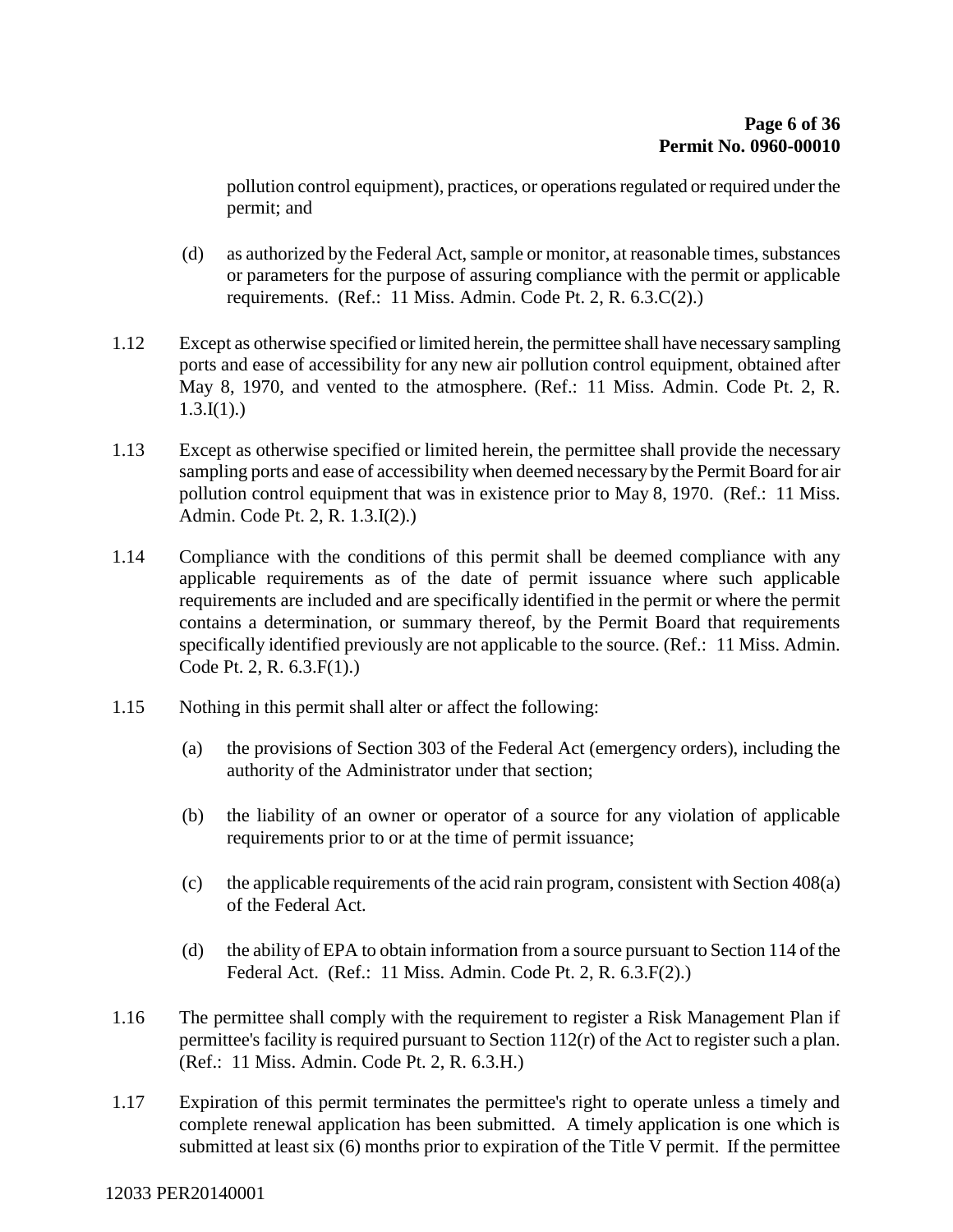pollution control equipment), practices, or operations regulated or required under the permit; and

- (d) as authorized by the Federal Act, sample or monitor, at reasonable times, substances or parameters for the purpose of assuring compliance with the permit or applicable requirements. (Ref.: 11 Miss. Admin. Code Pt. 2, R. 6.3.C(2).)
- 1.12 Except as otherwise specified or limited herein, the permittee shall have necessary sampling ports and ease of accessibility for any new air pollution control equipment, obtained after May 8, 1970, and vented to the atmosphere. (Ref.: 11 Miss. Admin. Code Pt. 2, R.  $1.3.I(1)$ .)
- 1.13 Except as otherwise specified or limited herein, the permittee shall provide the necessary sampling ports and ease of accessibility when deemed necessary by the Permit Board for air pollution control equipment that was in existence prior to May 8, 1970. (Ref.: 11 Miss. Admin. Code Pt. 2, R. 1.3.I(2).)
- 1.14 Compliance with the conditions of this permit shall be deemed compliance with any applicable requirements as of the date of permit issuance where such applicable requirements are included and are specifically identified in the permit or where the permit contains a determination, or summary thereof, by the Permit Board that requirements specifically identified previously are not applicable to the source. (Ref.: 11 Miss. Admin. Code Pt. 2, R. 6.3.F(1).)
- 1.15 Nothing in this permit shall alter or affect the following:
	- (a) the provisions of Section 303 of the Federal Act (emergency orders), including the authority of the Administrator under that section;
	- (b) the liability of an owner or operator of a source for any violation of applicable requirements prior to or at the time of permit issuance;
	- (c) the applicable requirements of the acid rain program, consistent with Section 408(a) of the Federal Act.
	- (d) the ability of EPA to obtain information from a source pursuant to Section 114 of the Federal Act. (Ref.: 11 Miss. Admin. Code Pt. 2, R. 6.3.F(2).)
- 1.16 The permittee shall comply with the requirement to register a Risk Management Plan if permittee's facility is required pursuant to Section 112(r) of the Act to register such a plan. (Ref.: 11 Miss. Admin. Code Pt. 2, R. 6.3.H.)
- 1.17 Expiration of this permit terminates the permittee's right to operate unless a timely and complete renewal application has been submitted. A timely application is one which is submitted at least six (6) months prior to expiration of the Title V permit. If the permittee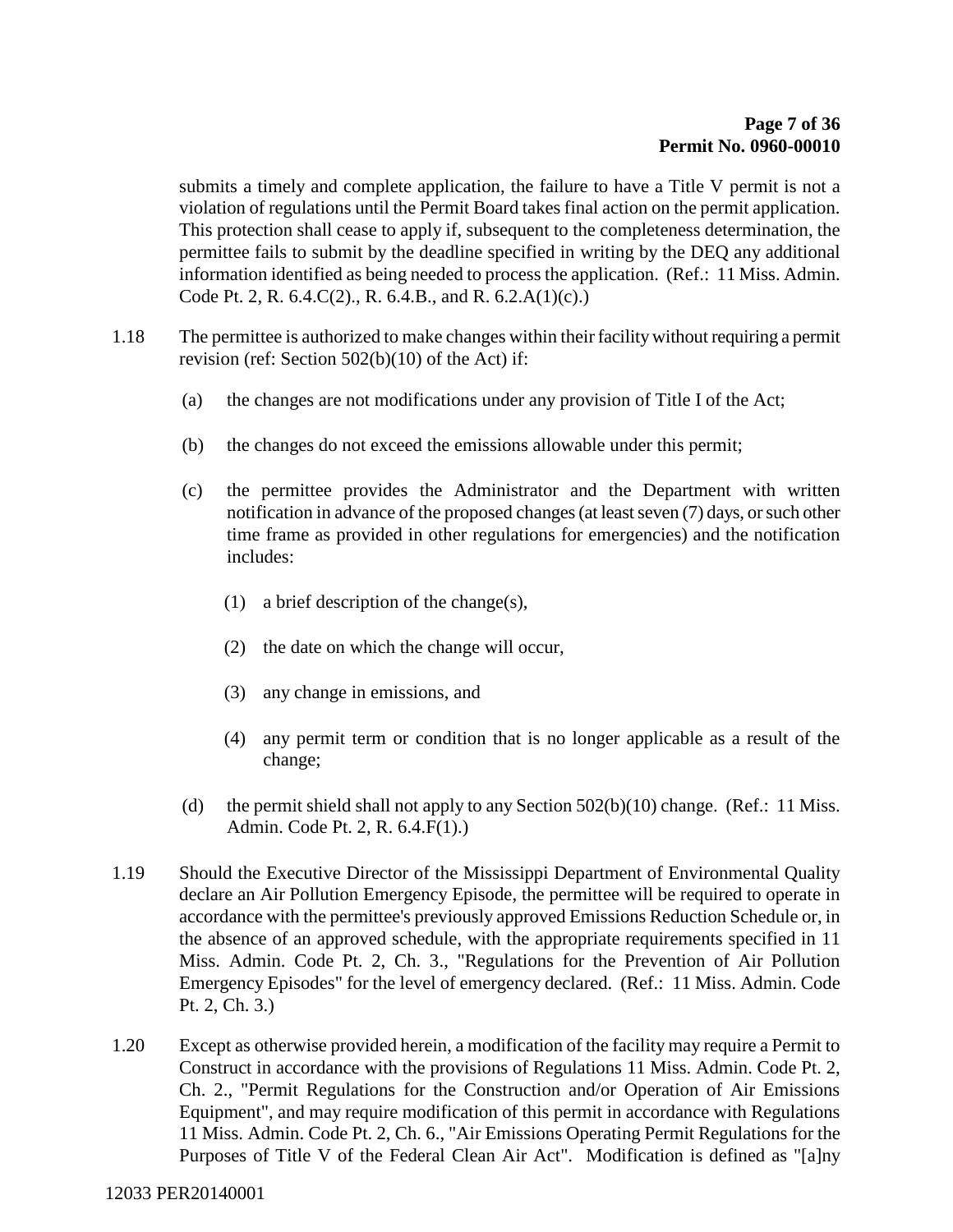submits a timely and complete application, the failure to have a Title V permit is not a violation of regulations until the Permit Board takes final action on the permit application. This protection shall cease to apply if, subsequent to the completeness determination, the permittee fails to submit by the deadline specified in writing by the DEQ any additional information identified as being needed to process the application. (Ref.: 11 Miss. Admin. Code Pt. 2, R. 6.4.C(2)., R. 6.4.B., and R. 6.2.A(1)(c).)

- 1.18 The permittee is authorized to make changes within their facility without requiring a permit revision (ref: Section 502(b)(10) of the Act) if:
	- (a) the changes are not modifications under any provision of Title I of the Act;
	- (b) the changes do not exceed the emissions allowable under this permit;
	- (c) the permittee provides the Administrator and the Department with written notification in advance of the proposed changes (at least seven (7) days, or such other time frame as provided in other regulations for emergencies) and the notification includes:
		- (1) a brief description of the change(s),
		- (2) the date on which the change will occur,
		- (3) any change in emissions, and
		- (4) any permit term or condition that is no longer applicable as a result of the change;
	- (d) the permit shield shall not apply to any Section  $502(b)(10)$  change. (Ref.: 11 Miss. Admin. Code Pt. 2, R. 6.4.F(1).)
- 1.19 Should the Executive Director of the Mississippi Department of Environmental Quality declare an Air Pollution Emergency Episode, the permittee will be required to operate in accordance with the permittee's previously approved Emissions Reduction Schedule or, in the absence of an approved schedule, with the appropriate requirements specified in 11 Miss. Admin. Code Pt. 2, Ch. 3., "Regulations for the Prevention of Air Pollution Emergency Episodes" for the level of emergency declared. (Ref.: 11 Miss. Admin. Code Pt. 2, Ch. 3.)
- 1.20 Except as otherwise provided herein, a modification of the facility may require a Permit to Construct in accordance with the provisions of Regulations 11 Miss. Admin. Code Pt. 2, Ch. 2., "Permit Regulations for the Construction and/or Operation of Air Emissions Equipment", and may require modification of this permit in accordance with Regulations 11 Miss. Admin. Code Pt. 2, Ch. 6., "Air Emissions Operating Permit Regulations for the Purposes of Title V of the Federal Clean Air Act". Modification is defined as "[a]ny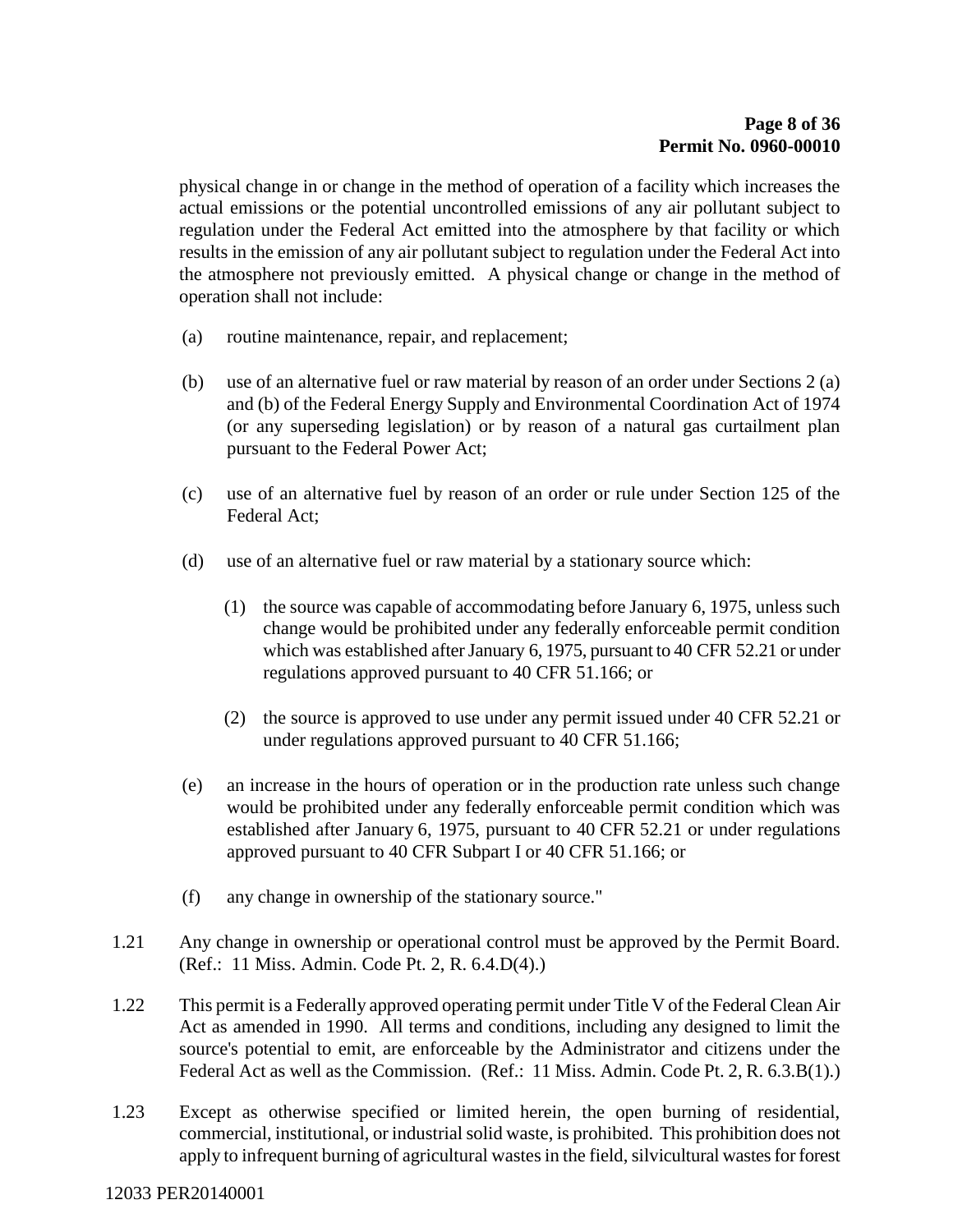physical change in or change in the method of operation of a facility which increases the actual emissions or the potential uncontrolled emissions of any air pollutant subject to regulation under the Federal Act emitted into the atmosphere by that facility or which results in the emission of any air pollutant subject to regulation under the Federal Act into the atmosphere not previously emitted. A physical change or change in the method of operation shall not include:

- (a) routine maintenance, repair, and replacement;
- (b) use of an alternative fuel or raw material by reason of an order under Sections 2 (a) and (b) of the Federal Energy Supply and Environmental Coordination Act of 1974 (or any superseding legislation) or by reason of a natural gas curtailment plan pursuant to the Federal Power Act;
- (c) use of an alternative fuel by reason of an order or rule under Section 125 of the Federal Act;
- (d) use of an alternative fuel or raw material by a stationary source which:
	- (1) the source was capable of accommodating before January 6, 1975, unless such change would be prohibited under any federally enforceable permit condition which was established after January 6, 1975, pursuant to 40 CFR 52.21 or under regulations approved pursuant to 40 CFR 51.166; or
	- (2) the source is approved to use under any permit issued under 40 CFR 52.21 or under regulations approved pursuant to 40 CFR 51.166;
- (e) an increase in the hours of operation or in the production rate unless such change would be prohibited under any federally enforceable permit condition which was established after January 6, 1975, pursuant to 40 CFR 52.21 or under regulations approved pursuant to 40 CFR Subpart I or 40 CFR 51.166; or
- (f) any change in ownership of the stationary source."
- 1.21 Any change in ownership or operational control must be approved by the Permit Board. (Ref.: 11 Miss. Admin. Code Pt. 2, R. 6.4.D(4).)
- 1.22 This permit is a Federally approved operating permit under Title V of the Federal Clean Air Act as amended in 1990. All terms and conditions, including any designed to limit the source's potential to emit, are enforceable by the Administrator and citizens under the Federal Act as well as the Commission. (Ref.: 11 Miss. Admin. Code Pt. 2, R. 6.3.B(1).)
- 1.23 Except as otherwise specified or limited herein, the open burning of residential, commercial, institutional, or industrial solid waste, is prohibited. This prohibition does not apply to infrequent burning of agricultural wastes in the field, silvicultural wastes for forest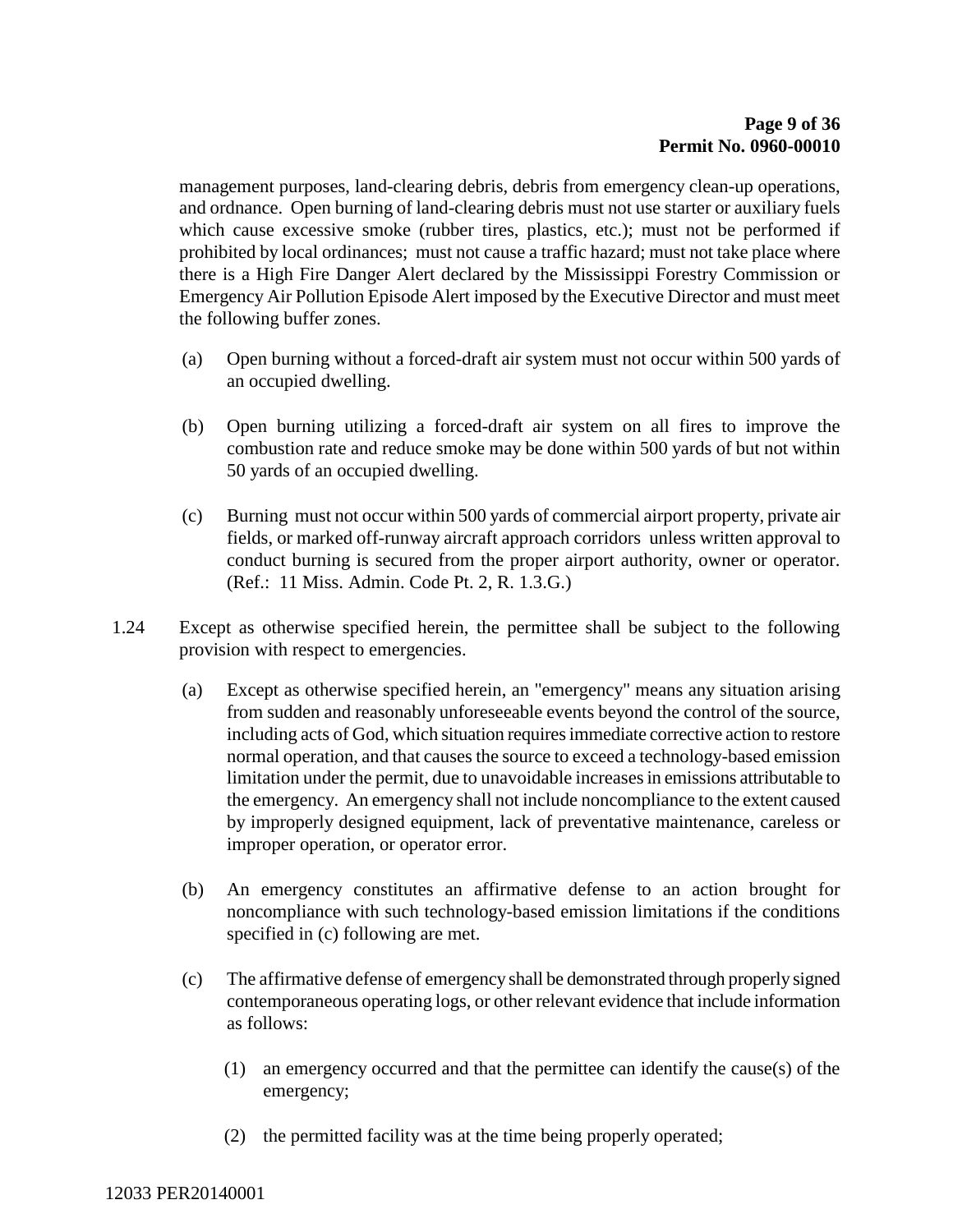management purposes, land-clearing debris, debris from emergency clean-up operations, and ordnance. Open burning of land-clearing debris must not use starter or auxiliary fuels which cause excessive smoke (rubber tires, plastics, etc.); must not be performed if prohibited by local ordinances; must not cause a traffic hazard; must not take place where there is a High Fire Danger Alert declared by the Mississippi Forestry Commission or Emergency Air Pollution Episode Alert imposed by the Executive Director and must meet the following buffer zones.

- (a) Open burning without a forced-draft air system must not occur within 500 yards of an occupied dwelling.
- (b) Open burning utilizing a forced-draft air system on all fires to improve the combustion rate and reduce smoke may be done within 500 yards of but not within 50 yards of an occupied dwelling.
- (c) Burning must not occur within 500 yards of commercial airport property, private air fields, or marked off-runway aircraft approach corridors unless written approval to conduct burning is secured from the proper airport authority, owner or operator. (Ref.: 11 Miss. Admin. Code Pt. 2, R. 1.3.G.)
- 1.24 Except as otherwise specified herein, the permittee shall be subject to the following provision with respect to emergencies.
	- (a) Except as otherwise specified herein, an "emergency" means any situation arising from sudden and reasonably unforeseeable events beyond the control of the source, including acts of God, which situation requires immediate corrective action to restore normal operation, and that causes the source to exceed a technology-based emission limitation under the permit, due to unavoidable increases in emissions attributable to the emergency. An emergency shall not include noncompliance to the extent caused by improperly designed equipment, lack of preventative maintenance, careless or improper operation, or operator error.
	- (b) An emergency constitutes an affirmative defense to an action brought for noncompliance with such technology-based emission limitations if the conditions specified in (c) following are met.
	- (c) The affirmative defense of emergency shall be demonstrated through properly signed contemporaneous operating logs, or other relevant evidence that include information as follows:
		- (1) an emergency occurred and that the permittee can identify the cause(s) of the emergency;
		- (2) the permitted facility was at the time being properly operated;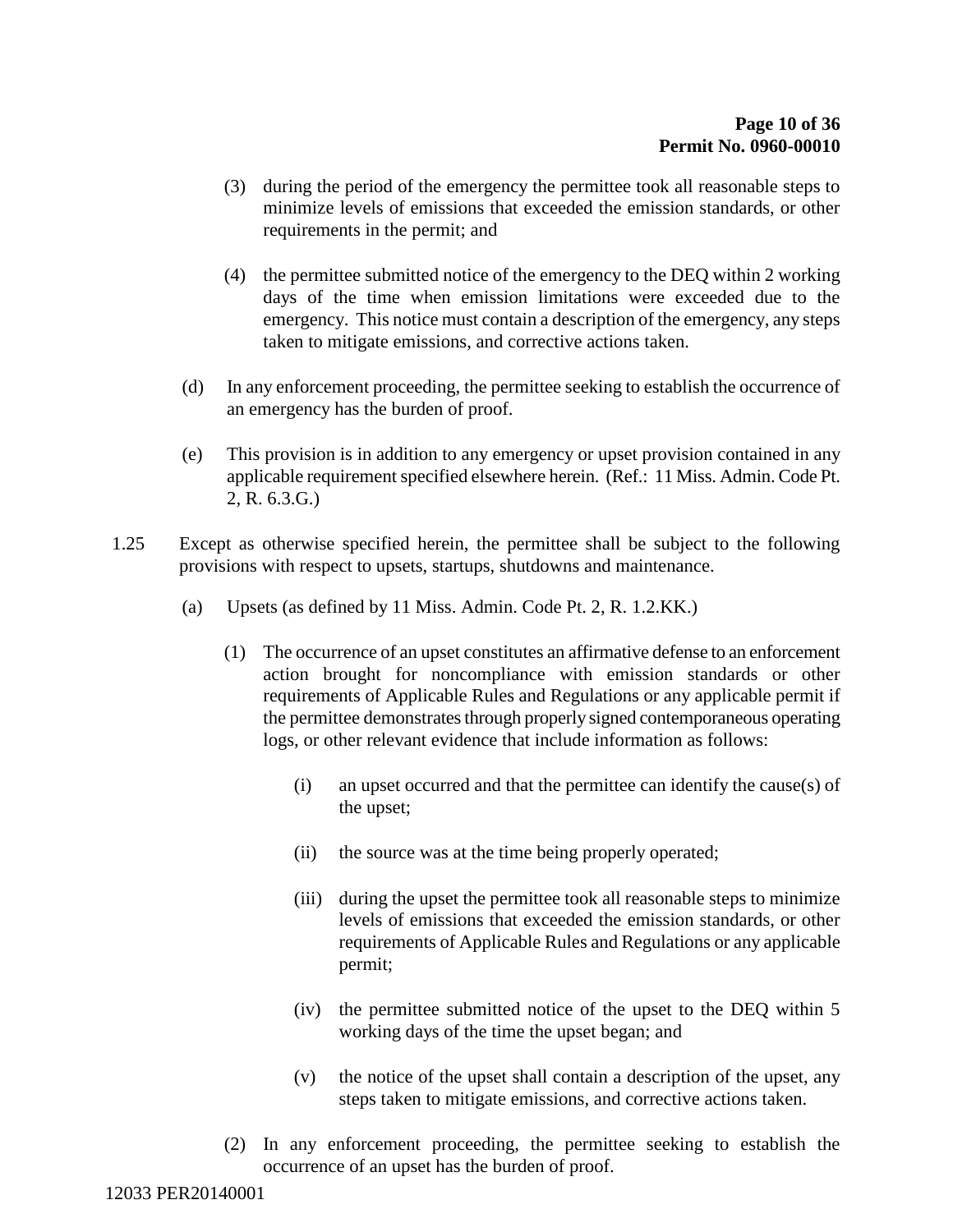- (3) during the period of the emergency the permittee took all reasonable steps to minimize levels of emissions that exceeded the emission standards, or other requirements in the permit; and
- (4) the permittee submitted notice of the emergency to the DEQ within 2 working days of the time when emission limitations were exceeded due to the emergency. This notice must contain a description of the emergency, any steps taken to mitigate emissions, and corrective actions taken.
- (d) In any enforcement proceeding, the permittee seeking to establish the occurrence of an emergency has the burden of proof.
- (e) This provision is in addition to any emergency or upset provision contained in any applicable requirement specified elsewhere herein. (Ref.: 11 Miss. Admin. Code Pt. 2, R. 6.3.G.)
- 1.25 Except as otherwise specified herein, the permittee shall be subject to the following provisions with respect to upsets, startups, shutdowns and maintenance.
	- (a) Upsets (as defined by 11 Miss. Admin. Code Pt. 2, R. 1.2.KK.)
		- (1) The occurrence of an upset constitutes an affirmative defense to an enforcement action brought for noncompliance with emission standards or other requirements of Applicable Rules and Regulations or any applicable permit if the permittee demonstrates through properly signed contemporaneous operating logs, or other relevant evidence that include information as follows:
			- (i) an upset occurred and that the permittee can identify the cause(s) of the upset;
			- (ii) the source was at the time being properly operated;
			- (iii) during the upset the permittee took all reasonable steps to minimize levels of emissions that exceeded the emission standards, or other requirements of Applicable Rules and Regulations or any applicable permit;
			- (iv) the permittee submitted notice of the upset to the DEQ within 5 working days of the time the upset began; and
			- (v) the notice of the upset shall contain a description of the upset, any steps taken to mitigate emissions, and corrective actions taken.
		- (2) In any enforcement proceeding, the permittee seeking to establish the occurrence of an upset has the burden of proof.

12033 PER20140001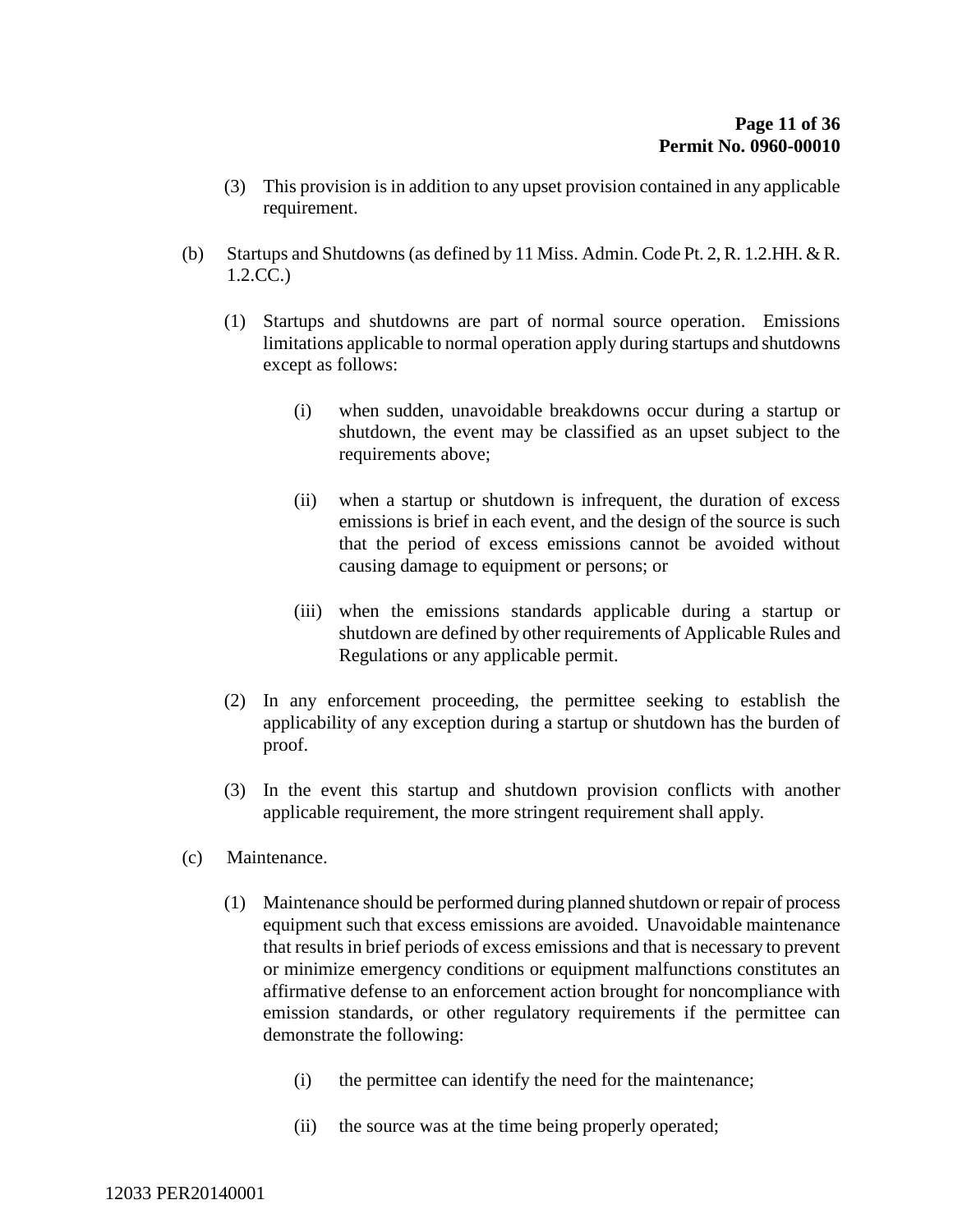- (3) This provision is in addition to any upset provision contained in any applicable requirement.
- (b) Startups and Shutdowns (as defined by 11 Miss. Admin. Code Pt. 2, R. 1.2.HH. & R. 1.2.CC.)
	- (1) Startups and shutdowns are part of normal source operation. Emissions limitations applicable to normal operation apply during startups and shutdowns except as follows:
		- (i) when sudden, unavoidable breakdowns occur during a startup or shutdown, the event may be classified as an upset subject to the requirements above;
		- (ii) when a startup or shutdown is infrequent, the duration of excess emissions is brief in each event, and the design of the source is such that the period of excess emissions cannot be avoided without causing damage to equipment or persons; or
		- (iii) when the emissions standards applicable during a startup or shutdown are defined by other requirements of Applicable Rules and Regulations or any applicable permit.
	- (2) In any enforcement proceeding, the permittee seeking to establish the applicability of any exception during a startup or shutdown has the burden of proof.
	- (3) In the event this startup and shutdown provision conflicts with another applicable requirement, the more stringent requirement shall apply.
- (c) Maintenance.
	- (1) Maintenance should be performed during planned shutdown or repair of process equipment such that excess emissions are avoided. Unavoidable maintenance that results in brief periods of excess emissions and that is necessary to prevent or minimize emergency conditions or equipment malfunctions constitutes an affirmative defense to an enforcement action brought for noncompliance with emission standards, or other regulatory requirements if the permittee can demonstrate the following:
		- (i) the permittee can identify the need for the maintenance;
		- (ii) the source was at the time being properly operated;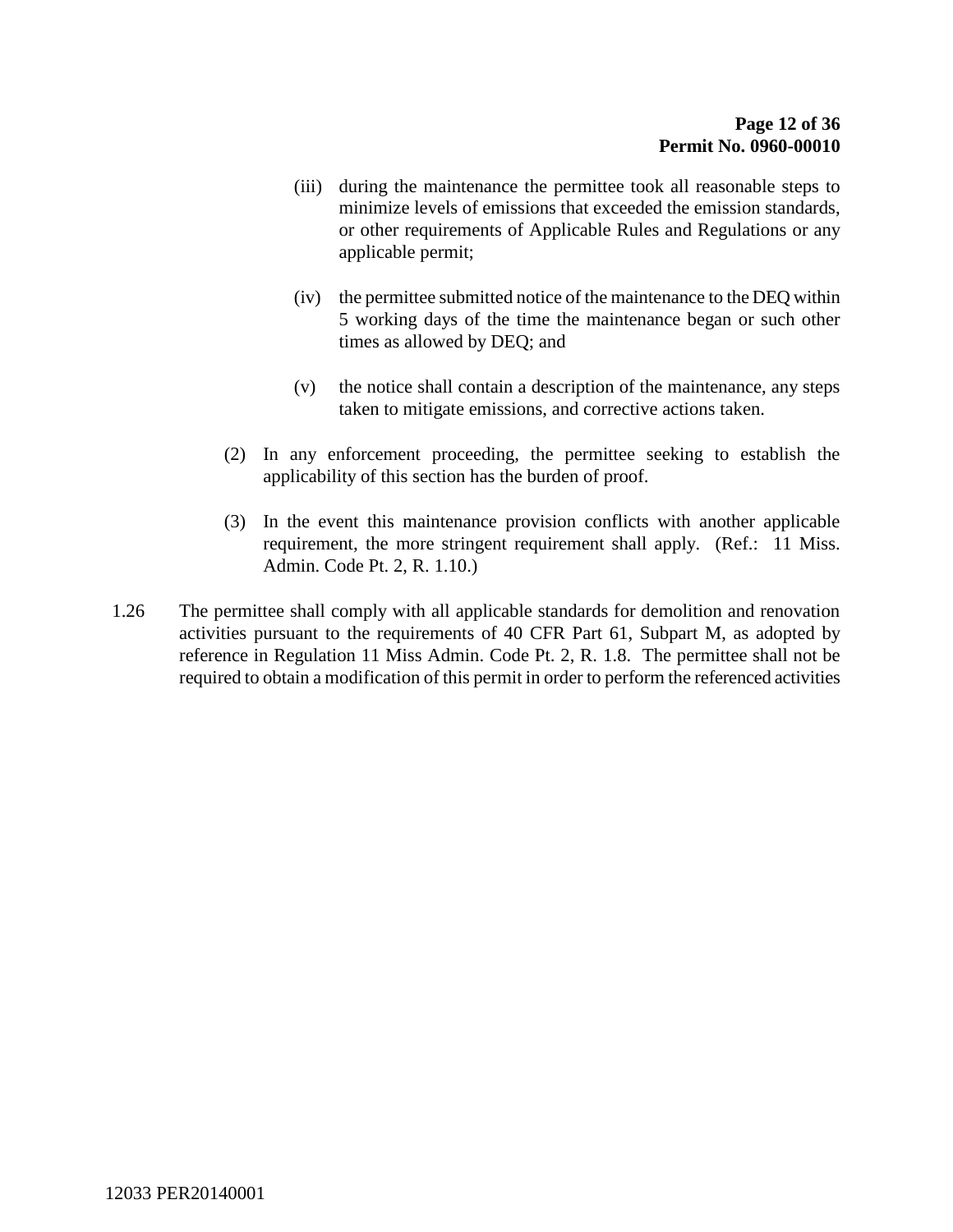- (iii) during the maintenance the permittee took all reasonable steps to minimize levels of emissions that exceeded the emission standards, or other requirements of Applicable Rules and Regulations or any applicable permit;
- (iv) the permittee submitted notice of the maintenance to the DEQ within 5 working days of the time the maintenance began or such other times as allowed by DEQ; and
- (v) the notice shall contain a description of the maintenance, any steps taken to mitigate emissions, and corrective actions taken.
- (2) In any enforcement proceeding, the permittee seeking to establish the applicability of this section has the burden of proof.
- (3) In the event this maintenance provision conflicts with another applicable requirement, the more stringent requirement shall apply. (Ref.: 11 Miss. Admin. Code Pt. 2, R. 1.10.)
- 1.26 The permittee shall comply with all applicable standards for demolition and renovation activities pursuant to the requirements of 40 CFR Part 61, Subpart M, as adopted by reference in Regulation 11 Miss Admin. Code Pt. 2, R. 1.8. The permittee shall not be required to obtain a modification of this permit in order to perform the referenced activities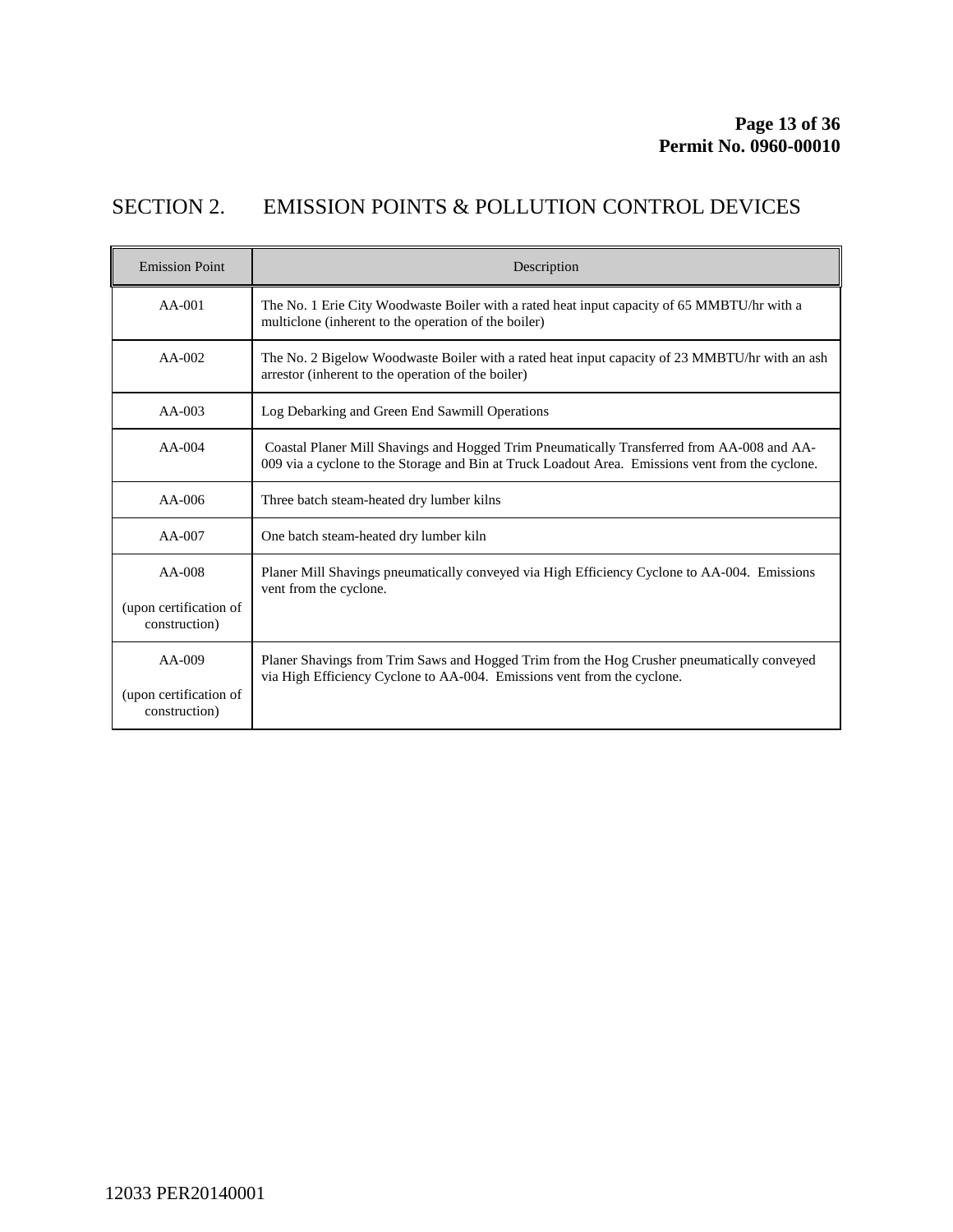# SECTION 2. EMISSION POINTS & POLLUTION CONTROL DEVICES

| <b>Emission Point</b>                               | Description                                                                                                                                                                                    |
|-----------------------------------------------------|------------------------------------------------------------------------------------------------------------------------------------------------------------------------------------------------|
| $AA-001$                                            | The No. 1 Erie City Woodwaste Boiler with a rated heat input capacity of 65 MMBTU/hr with a<br>multiclone (inherent to the operation of the boiler)                                            |
| $AA-002$                                            | The No. 2 Bigelow Woodwaste Boiler with a rated heat input capacity of 23 MMBTU/hr with an ash<br>arrestor (inherent to the operation of the boiler)                                           |
| $AA-003$                                            | Log Debarking and Green End Sawmill Operations                                                                                                                                                 |
| $AA-004$                                            | Coastal Planer Mill Shavings and Hogged Trim Pneumatically Transferred from AA-008 and AA-<br>009 via a cyclone to the Storage and Bin at Truck Loadout Area. Emissions vent from the cyclone. |
| $AA-006$                                            | Three batch steam-heated dry lumber kilns                                                                                                                                                      |
| $AA-007$                                            | One batch steam-heated dry lumber kiln                                                                                                                                                         |
| $AA-008$<br>(upon certification of<br>construction) | Planer Mill Shavings pneumatically conveyed via High Efficiency Cyclone to AA-004. Emissions<br>vent from the cyclone.                                                                         |
| $AA-009$<br>(upon certification of<br>construction) | Planer Shavings from Trim Saws and Hogged Trim from the Hog Crusher pneumatically conveyed<br>via High Efficiency Cyclone to AA-004. Emissions vent from the cyclone.                          |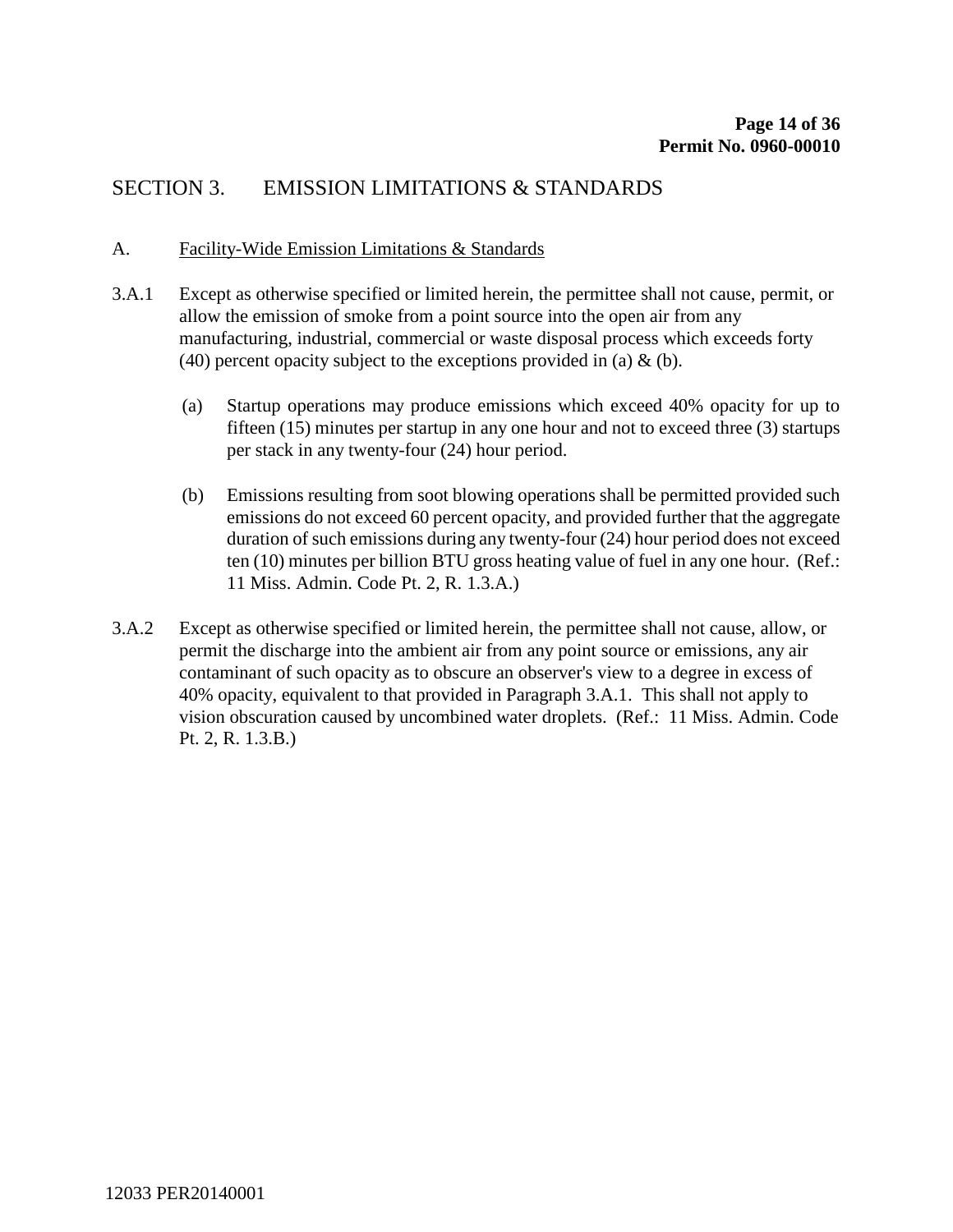## SECTION 3. EMISSION LIMITATIONS & STANDARDS

#### A. Facility-Wide Emission Limitations & Standards

- 3.A.1 Except as otherwise specified or limited herein, the permittee shall not cause, permit, or allow the emission of smoke from a point source into the open air from any manufacturing, industrial, commercial or waste disposal process which exceeds forty (40) percent opacity subject to the exceptions provided in (a)  $\&$  (b).
	- (a) Startup operations may produce emissions which exceed 40% opacity for up to fifteen (15) minutes per startup in any one hour and not to exceed three (3) startups per stack in any twenty-four (24) hour period.
	- (b) Emissions resulting from soot blowing operations shall be permitted provided such emissions do not exceed 60 percent opacity, and provided further that the aggregate duration of such emissions during any twenty-four (24) hour period does not exceed ten (10) minutes per billion BTU gross heating value of fuel in any one hour. (Ref.: 11 Miss. Admin. Code Pt. 2, R. 1.3.A.)
- 3.A.2 Except as otherwise specified or limited herein, the permittee shall not cause, allow, or permit the discharge into the ambient air from any point source or emissions, any air contaminant of such opacity as to obscure an observer's view to a degree in excess of 40% opacity, equivalent to that provided in Paragraph 3.A.1. This shall not apply to vision obscuration caused by uncombined water droplets. (Ref.: 11 Miss. Admin. Code Pt. 2, R. 1.3.B.)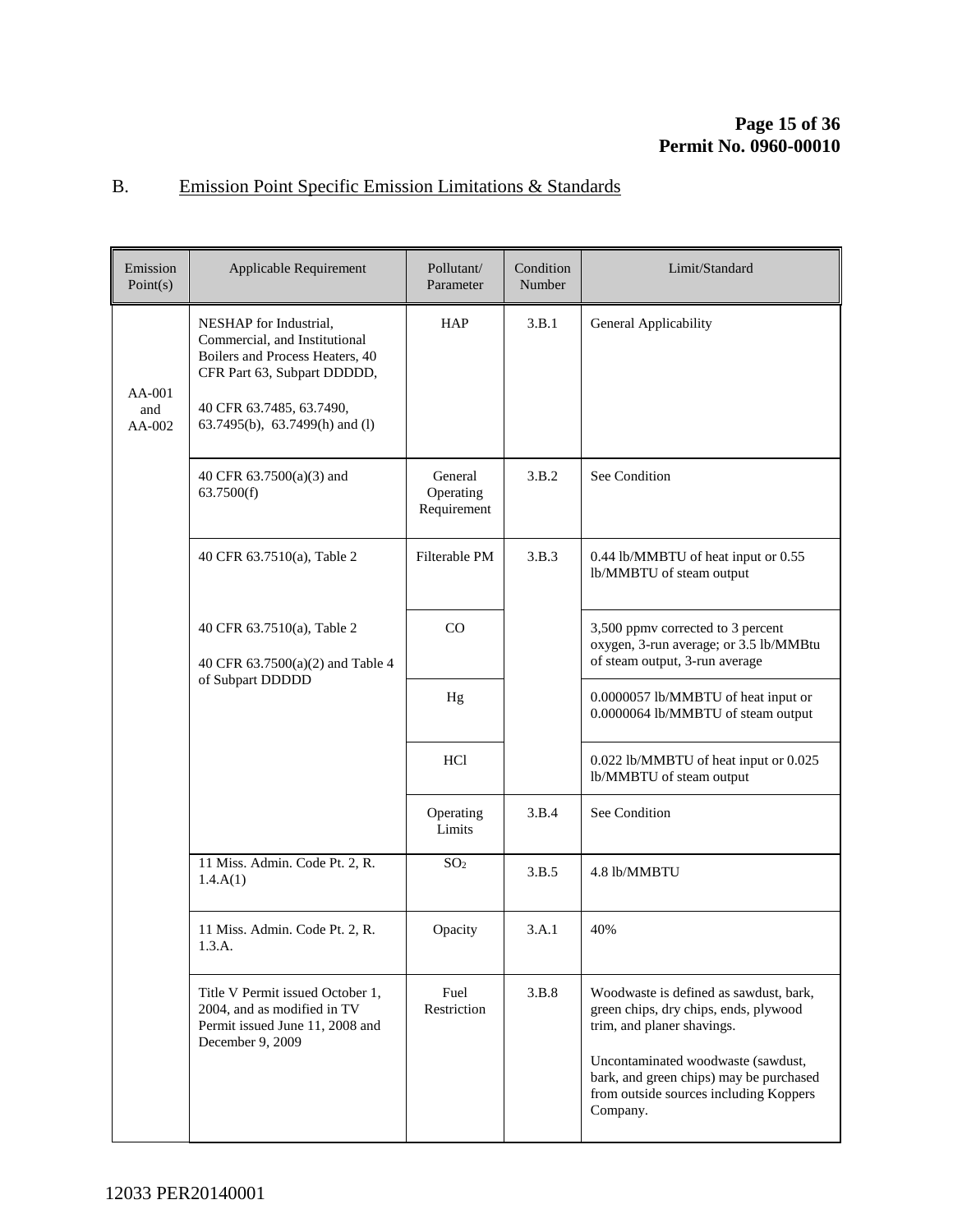# B. Emission Point Specific Emission Limitations & Standards

| Emission<br>Point(s)      | Applicable Requirement                                                                                                                                                                  | Pollutant/<br>Parameter             | Condition<br>Number | Limit/Standard                                                                                                                                                                                                                                       |
|---------------------------|-----------------------------------------------------------------------------------------------------------------------------------------------------------------------------------------|-------------------------------------|---------------------|------------------------------------------------------------------------------------------------------------------------------------------------------------------------------------------------------------------------------------------------------|
| AA-001<br>and<br>$AA-002$ | NESHAP for Industrial,<br>Commercial, and Institutional<br>Boilers and Process Heaters, 40<br>CFR Part 63, Subpart DDDDD,<br>40 CFR 63.7485, 63.7490,<br>63.7495(b), 63.7499(h) and (l) | HAP                                 | 3.B.1               | General Applicability                                                                                                                                                                                                                                |
|                           | 40 CFR $63.7500(a)(3)$ and<br>63.7500(f)                                                                                                                                                | General<br>Operating<br>Requirement | 3.B.2               | See Condition                                                                                                                                                                                                                                        |
|                           | 40 CFR 63.7510(a), Table 2                                                                                                                                                              | Filterable PM                       | 3.B.3               | 0.44 lb/MMBTU of heat input or 0.55<br>lb/MMBTU of steam output                                                                                                                                                                                      |
|                           | 40 CFR 63.7510(a), Table 2<br>40 CFR 63.7500(a)(2) and Table 4                                                                                                                          | $\rm CO$                            |                     | 3,500 ppmv corrected to 3 percent<br>oxygen, 3-run average; or 3.5 lb/MMBtu<br>of steam output, 3-run average                                                                                                                                        |
|                           | of Subpart DDDDD                                                                                                                                                                        | Hg                                  |                     | 0.0000057 lb/MMBTU of heat input or<br>0.0000064 lb/MMBTU of steam output                                                                                                                                                                            |
|                           |                                                                                                                                                                                         | <b>HCl</b>                          |                     | 0.022 lb/MMBTU of heat input or 0.025<br>lb/MMBTU of steam output                                                                                                                                                                                    |
|                           |                                                                                                                                                                                         | Operating<br>Limits                 | 3.B.4               | See Condition                                                                                                                                                                                                                                        |
|                           | 11 Miss. Admin. Code Pt. 2, R.<br>1.4.A(1)                                                                                                                                              | SO <sub>2</sub>                     | 3.B.5               | 4.8 lb/MMBTU                                                                                                                                                                                                                                         |
|                           | 11 Miss. Admin. Code Pt. 2, R.<br>1.3.A.                                                                                                                                                | Opacity                             | 3.A.1               | 40%                                                                                                                                                                                                                                                  |
|                           | Title V Permit issued October 1,<br>2004, and as modified in TV<br>Permit issued June 11, 2008 and<br>December 9, 2009                                                                  | Fuel<br>Restriction                 | 3.B.8               | Woodwaste is defined as sawdust, bark,<br>green chips, dry chips, ends, plywood<br>trim, and planer shavings.<br>Uncontaminated woodwaste (sawdust,<br>bark, and green chips) may be purchased<br>from outside sources including Koppers<br>Company. |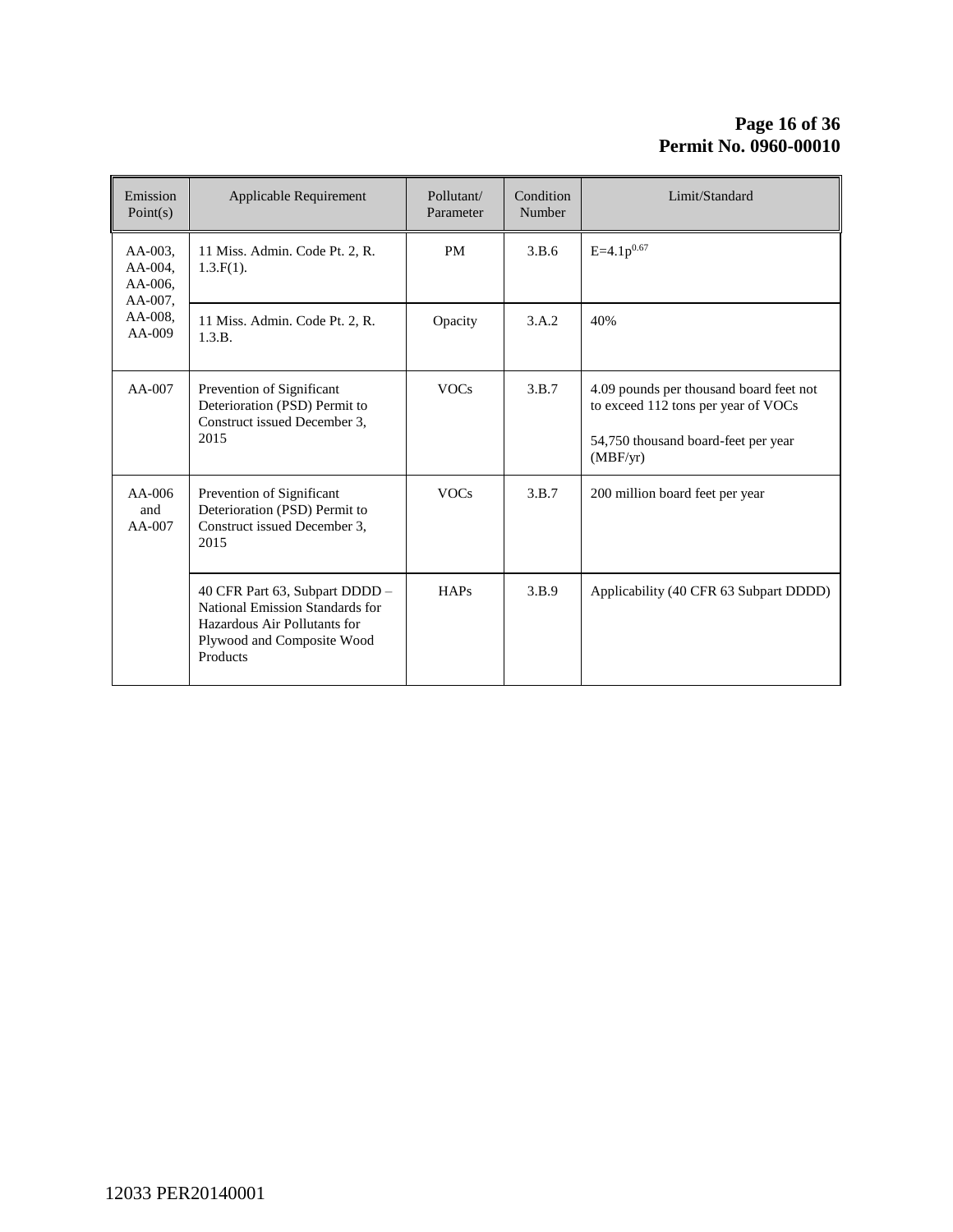#### **Page 16 of [36](#page-35-0) Permit No. 0960-00010**

| Emission<br>Point(s)                                                  | Applicable Requirement                                                                                                                      | Pollutant/<br>Parameter | Condition<br>Number | Limit/Standard                                                                                                                    |
|-----------------------------------------------------------------------|---------------------------------------------------------------------------------------------------------------------------------------------|-------------------------|---------------------|-----------------------------------------------------------------------------------------------------------------------------------|
| $AA-003$ .<br>AA-004.<br>$AA-006$ .<br>AA-007,<br>AA-008.<br>$AA-009$ | 11 Miss. Admin. Code Pt. 2, R.<br>$1.3.F(1)$ .                                                                                              | <b>PM</b>               | 3.B.6               | $E=4.1p^{0.67}$                                                                                                                   |
|                                                                       | 11 Miss. Admin. Code Pt. 2, R.<br>1.3.B.                                                                                                    | Opacity                 | 3.A.2               | 40%                                                                                                                               |
| $AA-007$                                                              | Prevention of Significant<br>Deterioration (PSD) Permit to<br>Construct issued December 3.<br>2015                                          | <b>VOCs</b>             | 3.B.7               | 4.09 pounds per thousand board feet not<br>to exceed 112 tons per year of VOCs<br>54,750 thousand board-feet per year<br>(MBF/yr) |
| $AA-006$<br>and<br>$AA-007$                                           | Prevention of Significant<br>Deterioration (PSD) Permit to<br>Construct issued December 3.<br>2015                                          | <b>VOCs</b>             | 3.B.7               | 200 million board feet per year                                                                                                   |
|                                                                       | 40 CFR Part 63, Subpart DDDD -<br>National Emission Standards for<br>Hazardous Air Pollutants for<br>Plywood and Composite Wood<br>Products | HAPs                    | 3.B.9               | Applicability (40 CFR 63 Subpart DDDD)                                                                                            |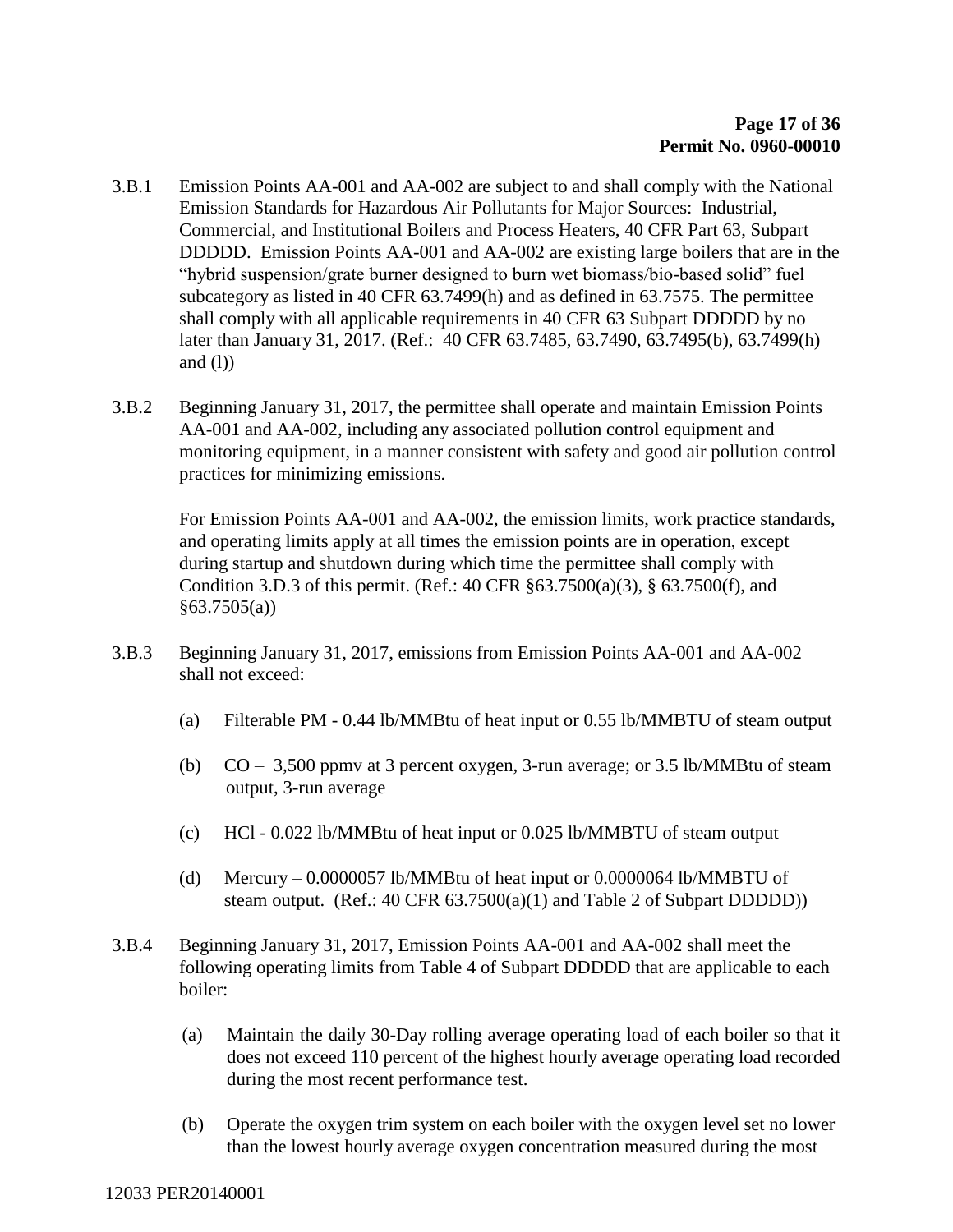- 3.B.1 Emission Points AA-001 and AA-002 are subject to and shall comply with the National Emission Standards for Hazardous Air Pollutants for Major Sources: Industrial, Commercial, and Institutional Boilers and Process Heaters, 40 CFR Part 63, Subpart DDDDD. Emission Points AA-001 and AA-002 are existing large boilers that are in the "hybrid suspension/grate burner designed to burn wet biomass/bio-based solid" fuel subcategory as listed in 40 CFR 63.7499(h) and as defined in 63.7575. The permittee shall comply with all applicable requirements in 40 CFR 63 Subpart DDDDD by no later than January 31, 2017. (Ref.: 40 CFR 63.7485, 63.7490, 63.7495(b), 63.7499(h) and  $(l)$ )
- 3.B.2 Beginning January 31, 2017, the permittee shall operate and maintain Emission Points AA-001 and AA-002, including any associated pollution control equipment and monitoring equipment, in a manner consistent with safety and good air pollution control practices for minimizing emissions.

For Emission Points AA-001 and AA-002, the emission limits, work practice standards, and operating limits apply at all times the emission points are in operation, except during startup and shutdown during which time the permittee shall comply with Condition 3.D.3 of this permit. (Ref.: 40 CFR §63.7500(a)(3), § 63.7500(f), and  $§63.7505(a)$ 

- 3.B.3 Beginning January 31, 2017, emissions from Emission Points AA-001 and AA-002 shall not exceed:
	- (a) Filterable PM 0.44 lb/MMBtu of heat input or 0.55 lb/MMBTU of steam output
	- (b)  $CO 3,500$  ppmv at 3 percent oxygen, 3-run average; or 3.5 lb/MMBtu of steam output, 3-run average
	- (c) HCl 0.022 lb/MMBtu of heat input or 0.025 lb/MMBTU of steam output
	- (d) Mercury 0.0000057 lb/MMBtu of heat input or 0.0000064 lb/MMBTU of steam output.  $(Ref.: 40 CFR 63.7500(a)(1)$  and Table 2 of Subpart DDDDD))
- 3.B.4 Beginning January 31, 2017, Emission Points AA-001 and AA-002 shall meet the following operating limits from Table 4 of Subpart DDDDD that are applicable to each boiler:
	- (a) Maintain the daily 30-Day rolling average operating load of each boiler so that it does not exceed 110 percent of the highest hourly average operating load recorded during the most recent performance test.
	- (b) Operate the oxygen trim system on each boiler with the oxygen level set no lower than the lowest hourly average oxygen concentration measured during the most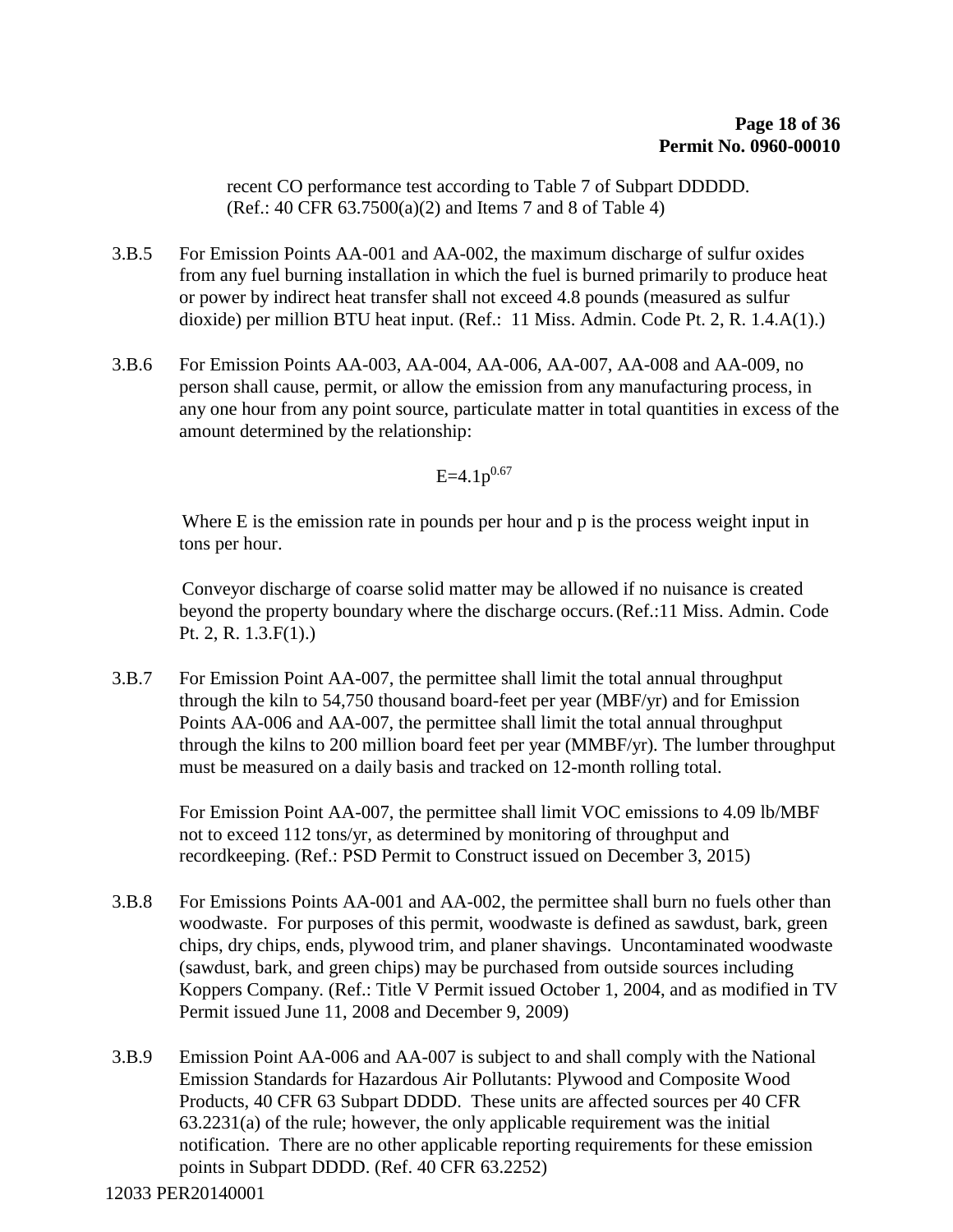recent CO performance test according to Table 7 of Subpart DDDDD. (Ref.: 40 CFR 63.7500(a)(2) and Items 7 and 8 of Table 4)

- 3.B.5 For Emission Points AA-001 and AA-002, the maximum discharge of sulfur oxides from any fuel burning installation in which the fuel is burned primarily to produce heat or power by indirect heat transfer shall not exceed 4.8 pounds (measured as sulfur dioxide) per million BTU heat input. (Ref.: 11 Miss. Admin. Code Pt. 2, R. 1.4.A(1).)
- 3.B.6 For Emission Points AA-003, AA-004, AA-006, AA-007, AA-008 and AA-009, no person shall cause, permit, or allow the emission from any manufacturing process, in any one hour from any point source, particulate matter in total quantities in excess of the amount determined by the relationship:

$$
E=4.1p^{0.67}
$$

Where E is the emission rate in pounds per hour and p is the process weight input in tons per hour.

Conveyor discharge of coarse solid matter may be allowed if no nuisance is created beyond the property boundary where the discharge occurs.(Ref.:11 Miss. Admin. Code Pt. 2, R. 1.3.F(1).)

3.B.7 For Emission Point AA-007, the permittee shall limit the total annual throughput through the kiln to 54,750 thousand board-feet per year (MBF/yr) and for Emission Points AA-006 and AA-007, the permittee shall limit the total annual throughput through the kilns to 200 million board feet per year (MMBF/yr). The lumber throughput must be measured on a daily basis and tracked on 12-month rolling total.

For Emission Point AA-007, the permittee shall limit VOC emissions to 4.09 lb/MBF not to exceed 112 tons/yr, as determined by monitoring of throughput and recordkeeping. (Ref.: PSD Permit to Construct issued on December 3, 2015)

- 3.B.8 For Emissions Points AA-001 and AA-002, the permittee shall burn no fuels other than woodwaste. For purposes of this permit, woodwaste is defined as sawdust, bark, green chips, dry chips, ends, plywood trim, and planer shavings. Uncontaminated woodwaste (sawdust, bark, and green chips) may be purchased from outside sources including Koppers Company. (Ref.: Title V Permit issued October 1, 2004, and as modified in TV Permit issued June 11, 2008 and December 9, 2009)
- 3.B.9 Emission Point AA-006 and AA-007 is subject to and shall comply with the National Emission Standards for Hazardous Air Pollutants: Plywood and Composite Wood Products, 40 CFR 63 Subpart DDDD. These units are affected sources per 40 CFR 63.2231(a) of the rule; however, the only applicable requirement was the initial notification. There are no other applicable reporting requirements for these emission points in Subpart DDDD. (Ref. 40 CFR 63.2252)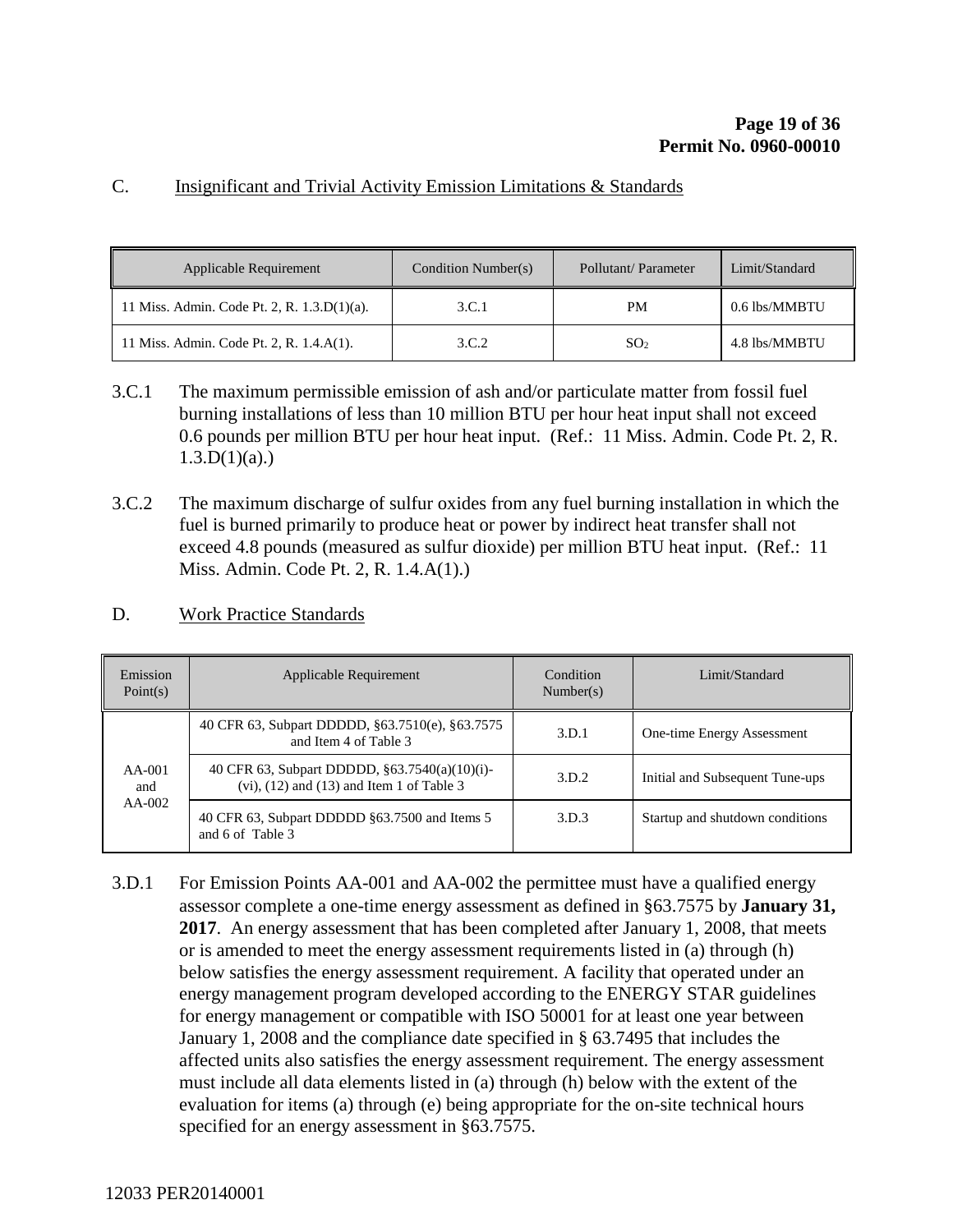#### C. Insignificant and Trivial Activity Emission Limitations & Standards

| Applicable Requirement                      | Condition Number(s) | Pollutant/Parameter | Limit/Standard |
|---------------------------------------------|---------------------|---------------------|----------------|
| 11 Miss. Admin. Code Pt. 2, R. 1.3.D(1)(a). | 3.C.1               | <b>PM</b>           | 0.6 lbs/MMBTU  |
| 11 Miss. Admin. Code Pt. 2, R. 1.4.A(1).    | 3.C.2               | SO <sub>2</sub>     | 4.8 lbs/MMBTU  |

- 3.C.1 The maximum permissible emission of ash and/or particulate matter from fossil fuel burning installations of less than 10 million BTU per hour heat input shall not exceed 0.6 pounds per million BTU per hour heat input. (Ref.: 11 Miss. Admin. Code Pt. 2, R.  $1.3.D(1)(a)$ .
- 3.C.2 The maximum discharge of sulfur oxides from any fuel burning installation in which the fuel is burned primarily to produce heat or power by indirect heat transfer shall not exceed 4.8 pounds (measured as sulfur dioxide) per million BTU heat input. (Ref.: 11 Miss. Admin. Code Pt. 2, R. 1.4.A(1).)

#### D. Work Practice Standards

| Emission<br>Point(s)        | Applicable Requirement                                                                            | Condition<br>Number(s) | Limit/Standard                  |
|-----------------------------|---------------------------------------------------------------------------------------------------|------------------------|---------------------------------|
| $AA-001$<br>and<br>$AA-002$ | 40 CFR 63, Subpart DDDDD, §63.7510(e), §63.7575<br>and Item 4 of Table 3                          | 3.D.1                  | One-time Energy Assessment      |
|                             | 40 CFR 63, Subpart DDDDD, §63.7540(a)(10)(i)-<br>$(vi)$ , $(12)$ and $(13)$ and Item 1 of Table 3 | 3.D.2                  | Initial and Subsequent Tune-ups |
|                             | 40 CFR 63, Subpart DDDDD §63.7500 and Items 5<br>and 6 of Table 3                                 | 3.D.3                  | Startup and shutdown conditions |

3.D.1 For Emission Points AA-001 and AA-002 the permittee must have a qualified energy assessor complete a one-time energy assessment as defined in §63.7575 by **January 31, 2017**. An energy assessment that has been completed after January 1, 2008, that meets or is amended to meet the energy assessment requirements listed in (a) through (h) below satisfies the energy assessment requirement. A facility that operated under an energy management program developed according to the ENERGY STAR guidelines for energy management or compatible with ISO 50001 for at least one year between January 1, 2008 and the compliance date specified in § 63.7495 that includes the affected units also satisfies the energy assessment requirement. The energy assessment must include all data elements listed in (a) through (h) below with the extent of the evaluation for items (a) through (e) being appropriate for the on-site technical hours specified for an energy assessment in §63.7575.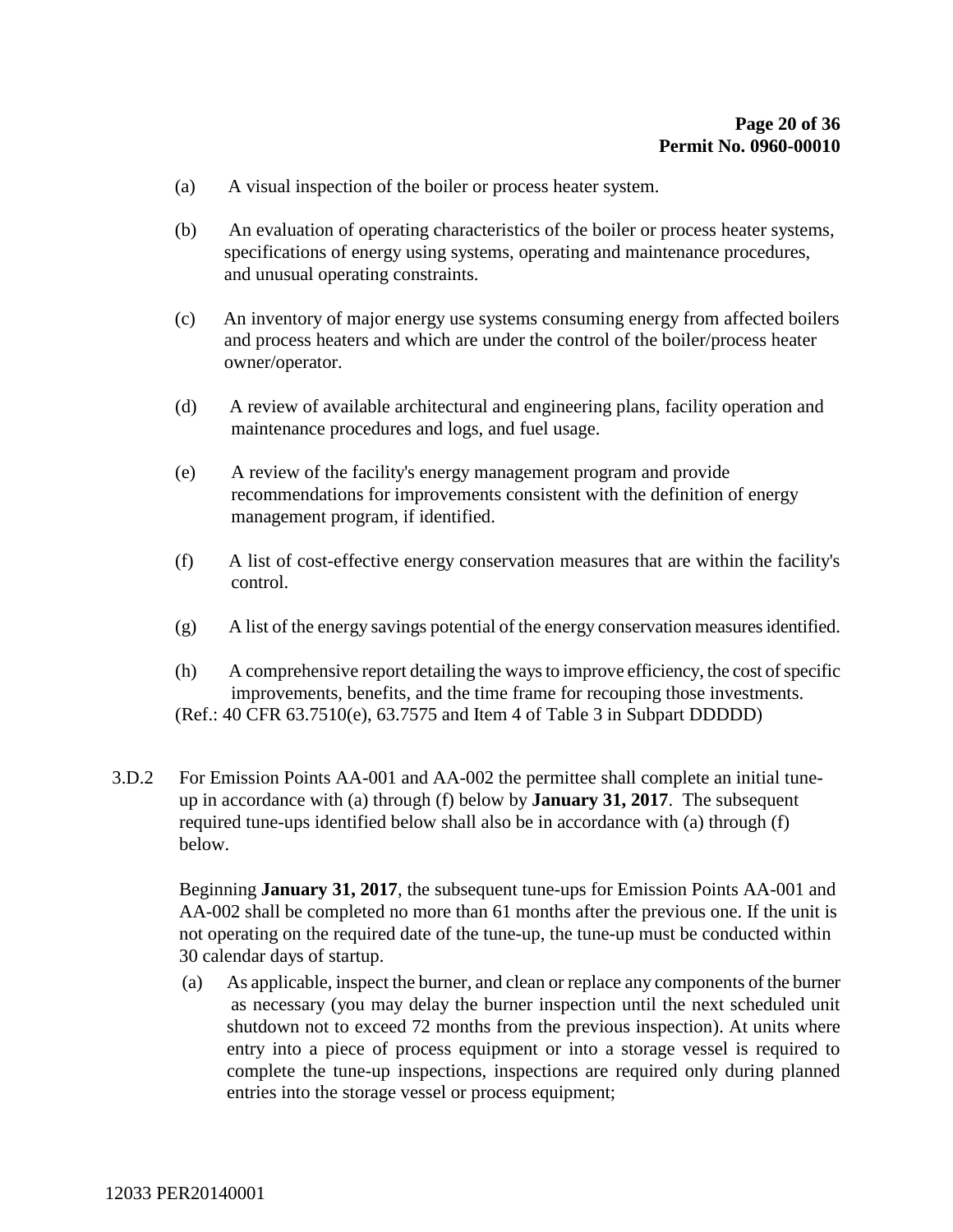- (a) A visual inspection of the boiler or process heater system.
- (b) An evaluation of operating characteristics of the boiler or process heater systems, specifications of energy using systems, operating and maintenance procedures, and unusual operating constraints.
- (c) An inventory of major energy use systems consuming energy from affected boilers and process heaters and which are under the control of the boiler/process heater owner/operator.
- (d) A review of available architectural and engineering plans, facility operation and maintenance procedures and logs, and fuel usage.
- (e) A review of the facility's energy management program and provide recommendations for improvements consistent with the definition of energy management program, if identified.
- (f) A list of cost-effective energy conservation measures that are within the facility's control.
- (g) A list of the energy savings potential of the energy conservation measures identified.
- (h) A comprehensive report detailing the ways to improve efficiency, the cost of specific improvements, benefits, and the time frame for recouping those investments. (Ref.: 40 CFR 63.7510(e), 63.7575 and Item 4 of Table 3 in Subpart DDDDD)
- 3.D.2 For Emission Points AA-001 and AA-002 the permittee shall complete an initial tuneup in accordance with (a) through (f) below by **January 31, 2017**. The subsequent required tune-ups identified below shall also be in accordance with (a) through (f) below.

Beginning **January 31, 2017**, the subsequent tune-ups for Emission Points AA-001 and AA-002 shall be completed no more than 61 months after the previous one. If the unit is not operating on the required date of the tune-up, the tune-up must be conducted within 30 calendar days of startup.

(a) As applicable, inspect the burner, and clean or replace any components of the burner as necessary (you may delay the burner inspection until the next scheduled unit shutdown not to exceed 72 months from the previous inspection). At units where entry into a piece of process equipment or into a storage vessel is required to complete the tune-up inspections, inspections are required only during planned entries into the storage vessel or process equipment;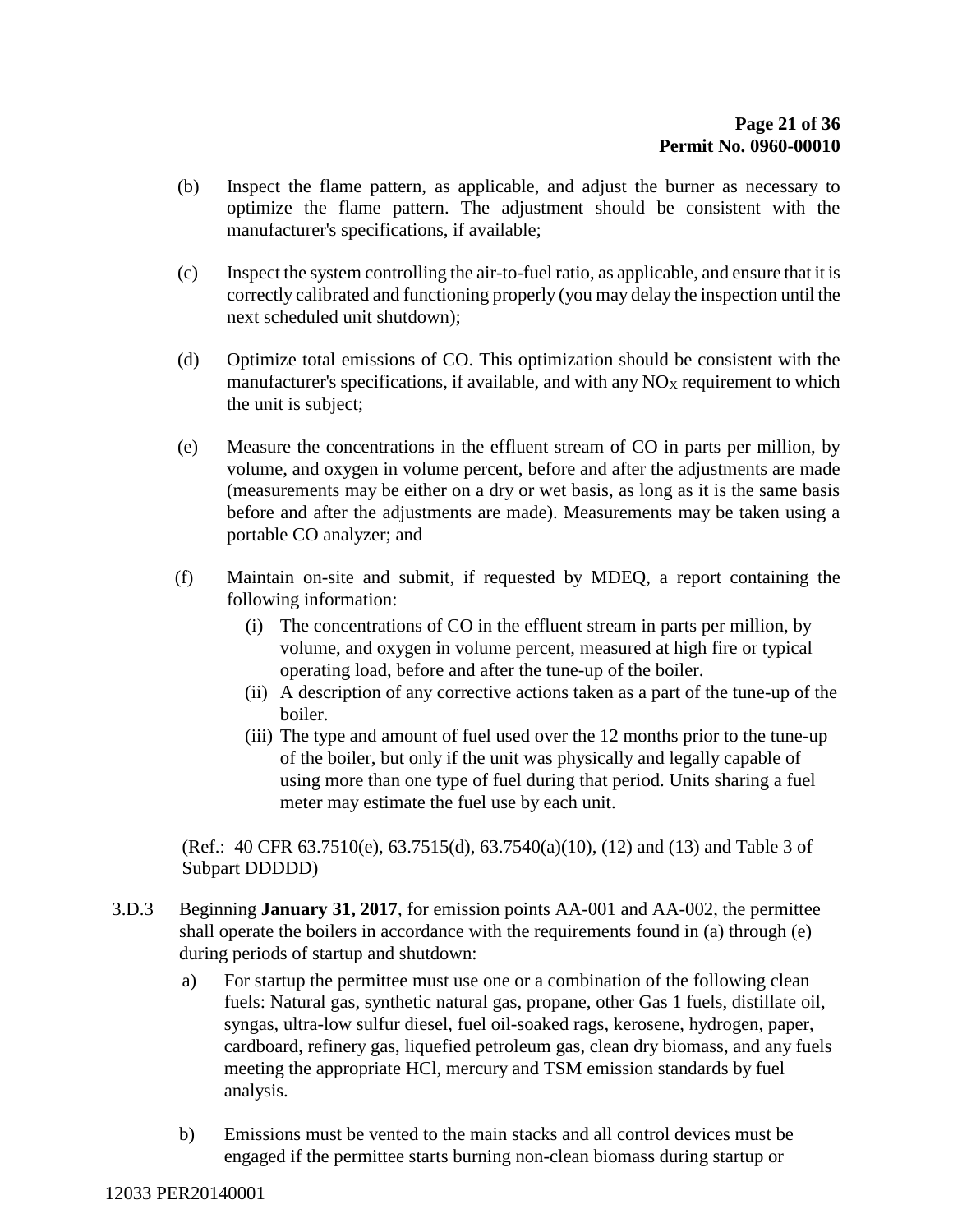- (b) Inspect the flame pattern, as applicable, and adjust the burner as necessary to optimize the flame pattern. The adjustment should be consistent with the manufacturer's specifications, if available;
- (c) Inspect the system controlling the air-to-fuel ratio, as applicable, and ensure that it is correctly calibrated and functioning properly (you may delay the inspection until the next scheduled unit shutdown);
- (d) Optimize total emissions of CO. This optimization should be consistent with the manufacturer's specifications, if available, and with any  $NO<sub>X</sub>$  requirement to which the unit is subject;
- (e) Measure the concentrations in the effluent stream of CO in parts per million, by volume, and oxygen in volume percent, before and after the adjustments are made (measurements may be either on a dry or wet basis, as long as it is the same basis before and after the adjustments are made). Measurements may be taken using a portable CO analyzer; and
- (f) Maintain on-site and submit, if requested by MDEQ, a report containing the following information:
	- (i) The concentrations of CO in the effluent stream in parts per million, by volume, and oxygen in volume percent, measured at high fire or typical operating load, before and after the tune-up of the boiler.
	- (ii) A description of any corrective actions taken as a part of the tune-up of the boiler.
	- (iii) The type and amount of fuel used over the 12 months prior to the tune-up of the boiler, but only if the unit was physically and legally capable of using more than one type of fuel during that period. Units sharing a fuel meter may estimate the fuel use by each unit.

(Ref.: 40 CFR 63.7510(e), 63.7515(d), 63.7540(a)(10), (12) and (13) and Table 3 of Subpart DDDDD)

- 3.D.3 Beginning **January 31, 2017**, for emission points AA-001 and AA-002, the permittee shall operate the boilers in accordance with the requirements found in (a) through (e) during periods of startup and shutdown:
	- a) For startup the permittee must use one or a combination of the following clean fuels: Natural gas, synthetic natural gas, propane, other Gas 1 fuels, distillate oil, syngas, ultra-low sulfur diesel, fuel oil-soaked rags, kerosene, hydrogen, paper, cardboard, refinery gas, liquefied petroleum gas, clean dry biomass, and any fuels meeting the appropriate HCl, mercury and TSM emission standards by fuel analysis.
	- b) Emissions must be vented to the main stacks and all control devices must be engaged if the permittee starts burning non-clean biomass during startup or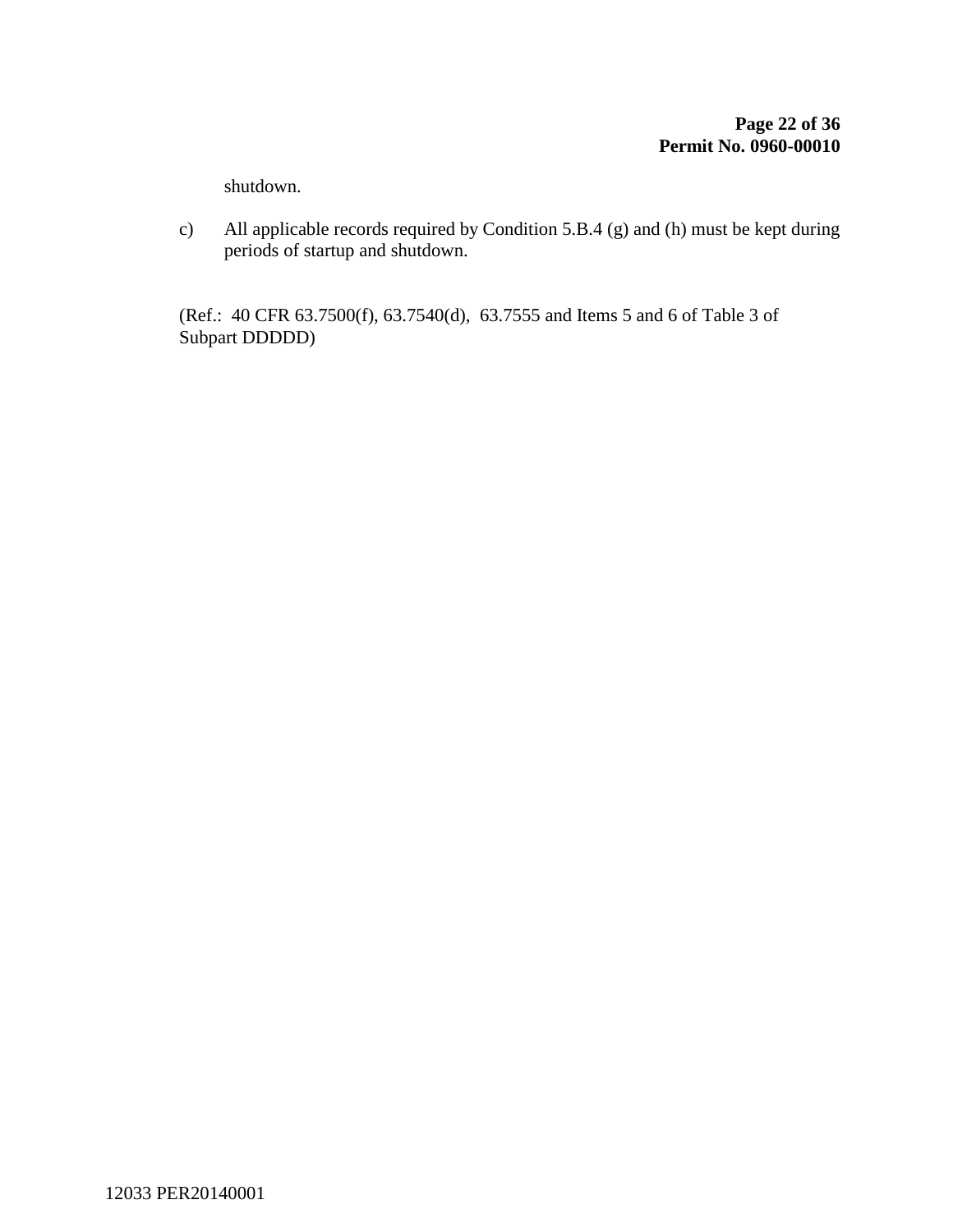shutdown.

c) All applicable records required by Condition 5.B.4 (g) and (h) must be kept during periods of startup and shutdown.

(Ref.: 40 CFR 63.7500(f), 63.7540(d), 63.7555 and Items 5 and 6 of Table 3 of Subpart DDDDD)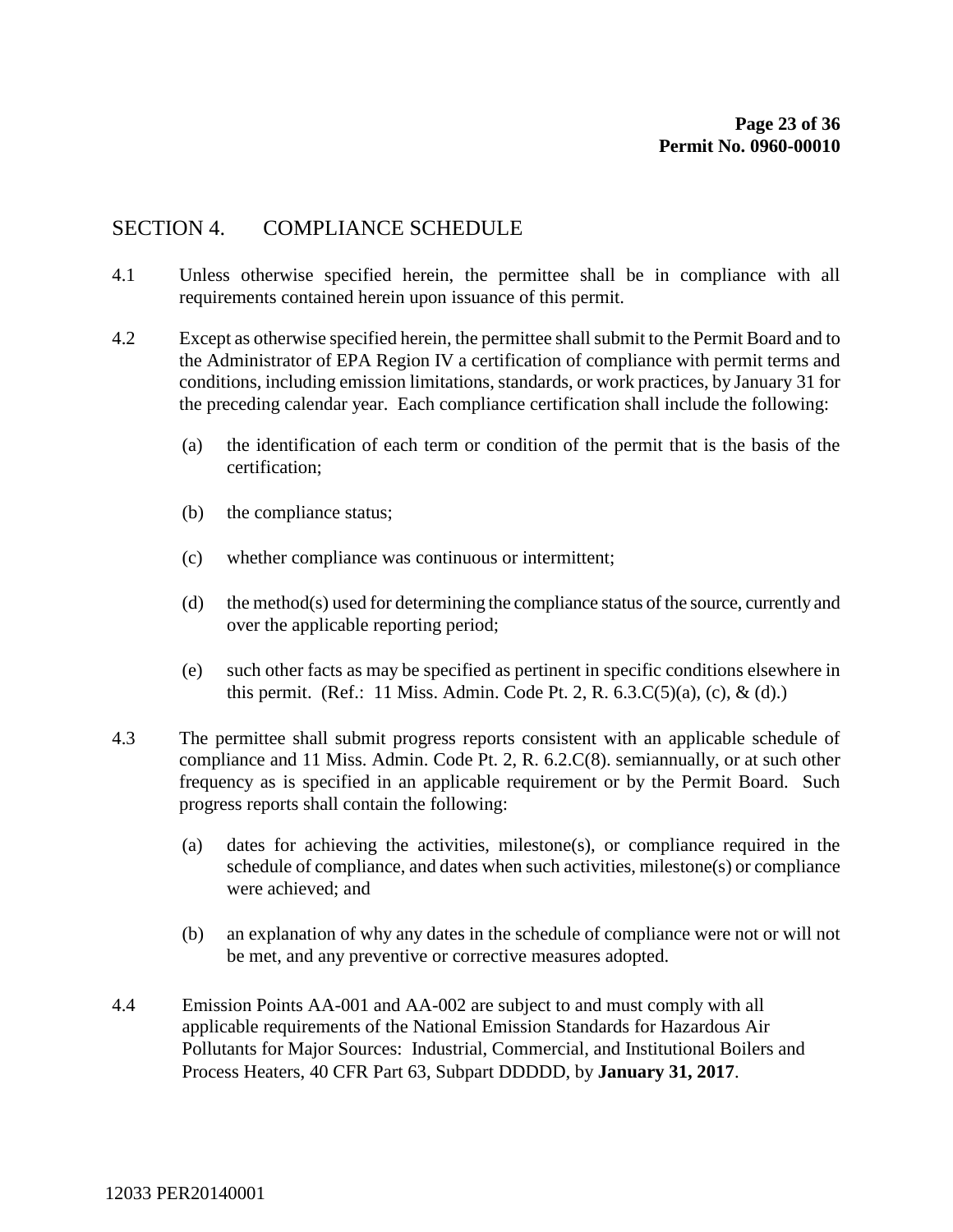### SECTION 4. COMPLIANCE SCHEDULE

- 4.1 Unless otherwise specified herein, the permittee shall be in compliance with all requirements contained herein upon issuance of this permit.
- 4.2 Except as otherwise specified herein, the permittee shall submit to the Permit Board and to the Administrator of EPA Region IV a certification of compliance with permit terms and conditions, including emission limitations, standards, or work practices, by January 31 for the preceding calendar year. Each compliance certification shall include the following:
	- (a) the identification of each term or condition of the permit that is the basis of the certification;
	- (b) the compliance status;
	- (c) whether compliance was continuous or intermittent;
	- (d) the method(s) used for determining the compliance status of the source, currently and over the applicable reporting period;
	- (e) such other facts as may be specified as pertinent in specific conditions elsewhere in this permit. (Ref.: 11 Miss. Admin. Code Pt. 2, R. 6.3.C(5)(a), (c), & (d).)
- 4.3 The permittee shall submit progress reports consistent with an applicable schedule of compliance and 11 Miss. Admin. Code Pt. 2, R. 6.2.C(8). semiannually, or at such other frequency as is specified in an applicable requirement or by the Permit Board. Such progress reports shall contain the following:
	- (a) dates for achieving the activities, milestone(s), or compliance required in the schedule of compliance, and dates when such activities, milestone(s) or compliance were achieved; and
	- (b) an explanation of why any dates in the schedule of compliance were not or will not be met, and any preventive or corrective measures adopted.
- 4.4 Emission Points AA-001 and AA-002 are subject to and must comply with all applicable requirements of the National Emission Standards for Hazardous Air Pollutants for Major Sources: Industrial, Commercial, and Institutional Boilers and Process Heaters, 40 CFR Part 63, Subpart DDDDD, by **January 31, 2017**.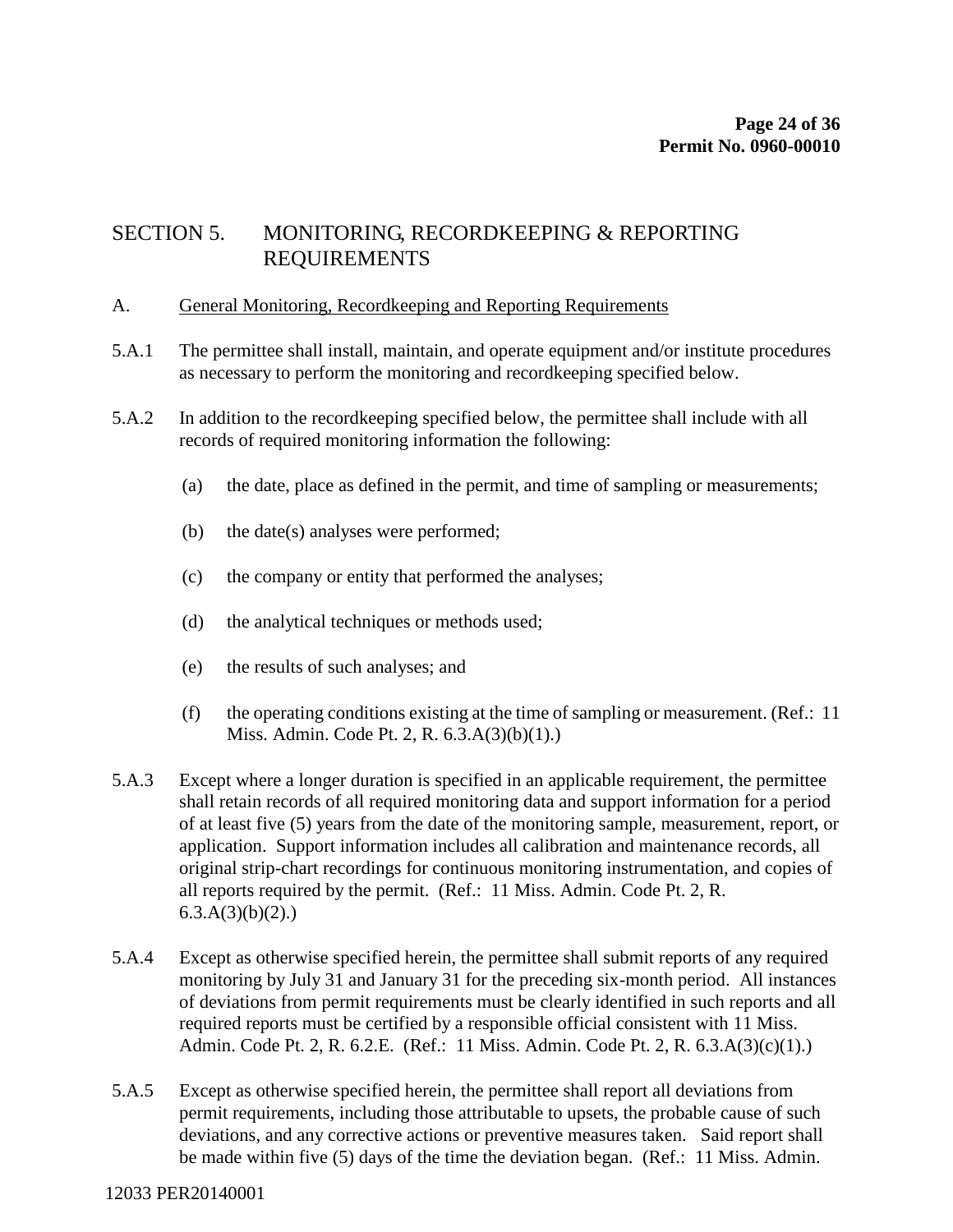## SECTION 5. MONITORING, RECORDKEEPING & REPORTING REQUIREMENTS

#### A. General Monitoring, Recordkeeping and Reporting Requirements

- 5.A.1 The permittee shall install, maintain, and operate equipment and/or institute procedures as necessary to perform the monitoring and recordkeeping specified below.
- 5.A.2 In addition to the recordkeeping specified below, the permittee shall include with all records of required monitoring information the following:
	- (a) the date, place as defined in the permit, and time of sampling or measurements;
	- (b) the date(s) analyses were performed;
	- (c) the company or entity that performed the analyses;
	- (d) the analytical techniques or methods used;
	- (e) the results of such analyses; and
	- (f) the operating conditions existing at the time of sampling or measurement. (Ref.: 11 Miss. Admin. Code Pt. 2, R. 6.3.A(3)(b)(1).)
- 5.A.3 Except where a longer duration is specified in an applicable requirement, the permittee shall retain records of all required monitoring data and support information for a period of at least five (5) years from the date of the monitoring sample, measurement, report, or application. Support information includes all calibration and maintenance records, all original strip-chart recordings for continuous monitoring instrumentation, and copies of all reports required by the permit. (Ref.: 11 Miss. Admin. Code Pt. 2, R.  $6.3.A(3)(b)(2)$ .)
- 5.A.4 Except as otherwise specified herein, the permittee shall submit reports of any required monitoring by July 31 and January 31 for the preceding six-month period. All instances of deviations from permit requirements must be clearly identified in such reports and all required reports must be certified by a responsible official consistent with 11 Miss. Admin. Code Pt. 2, R. 6.2.E. (Ref.: 11 Miss. Admin. Code Pt. 2, R. 6.3.A(3)(c)(1).)
- 5.A.5 Except as otherwise specified herein, the permittee shall report all deviations from permit requirements, including those attributable to upsets, the probable cause of such deviations, and any corrective actions or preventive measures taken. Said report shall be made within five (5) days of the time the deviation began. (Ref.: 11 Miss. Admin.

#### 12033 PER20140001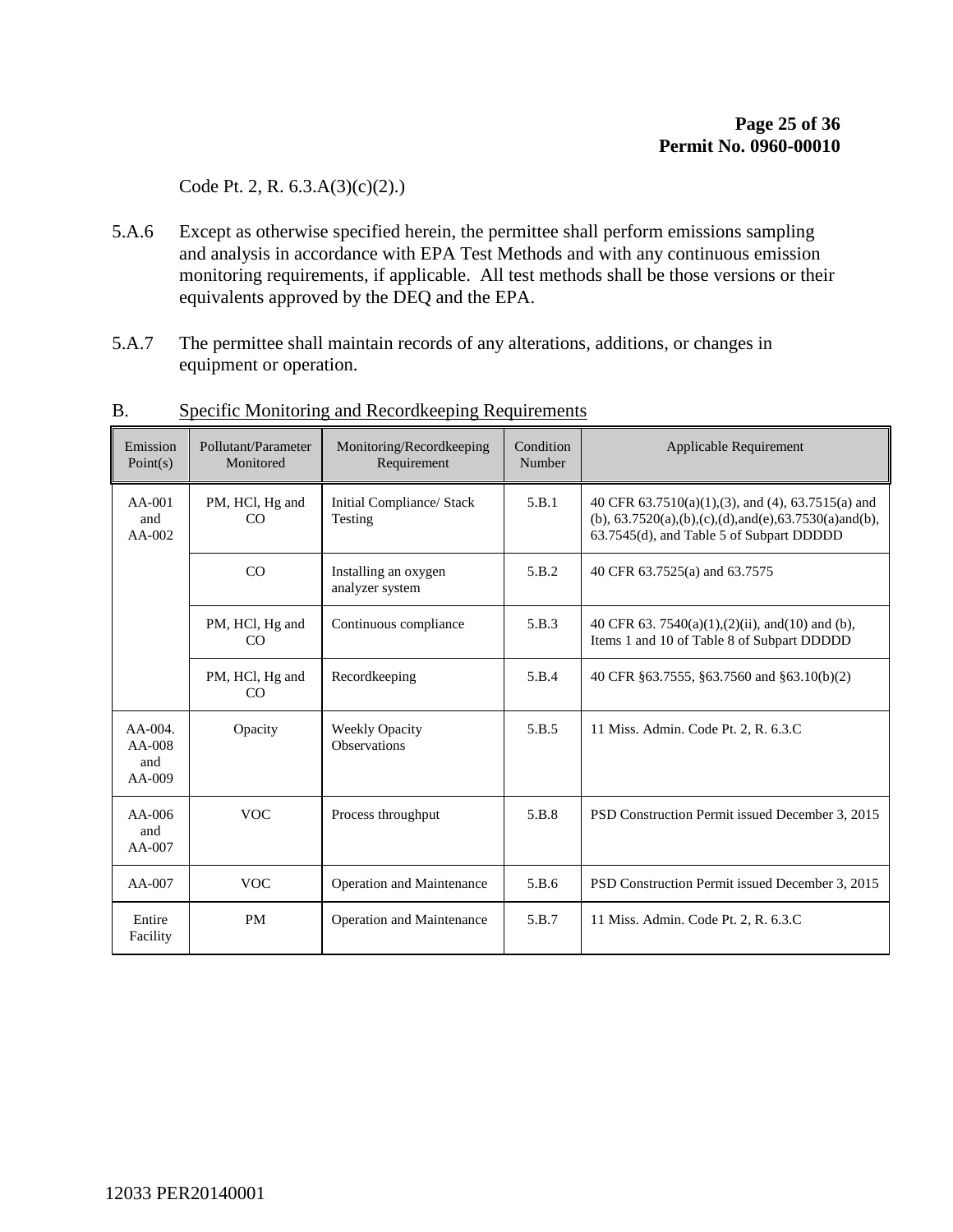Code Pt. 2, R. 6.3.A(3)(c)(2).)

- 5.A.6 Except as otherwise specified herein, the permittee shall perform emissions sampling and analysis in accordance with EPA Test Methods and with any continuous emission monitoring requirements, if applicable. All test methods shall be those versions or their equivalents approved by the DEQ and the EPA.
- 5.A.7 The permittee shall maintain records of any alterations, additions, or changes in equipment or operation.

| Emission<br>Point(s)                   | Pollutant/Parameter<br>Monitored                              | Monitoring/Recordkeeping<br>Requirement      | Condition<br>Number | Applicable Requirement                                                                                                                                             |
|----------------------------------------|---------------------------------------------------------------|----------------------------------------------|---------------------|--------------------------------------------------------------------------------------------------------------------------------------------------------------------|
| $AA-001$<br>and<br>$AA-002$            | Initial Compliance/ Stack<br>PM, HCl, Hg and<br>CO<br>Testing |                                              | 5.B.1               | 40 CFR 63.7510(a)(1),(3), and (4), 63.7515(a) and<br>(b), $63.7520(a)$ , (b), (c), (d), and (e), $63.7530(a)$ and (b),<br>63.7545(d), and Table 5 of Subpart DDDDD |
|                                        | CO                                                            | Installing an oxygen<br>analyzer system      | 5.B.2               | 40 CFR 63.7525(a) and 63.7575                                                                                                                                      |
|                                        | PM, HCl, Hg and<br>Continuous compliance<br>CO                |                                              | 5.B.3               | 40 CFR 63. 7540(a)(1),(2)(ii), and(10) and (b),<br>Items 1 and 10 of Table 8 of Subpart DDDDD                                                                      |
|                                        | PM, HCl, Hg and<br>CO                                         | Recordkeeping                                | 5.B.4               | 40 CFR §63.7555, §63.7560 and §63.10(b)(2)                                                                                                                         |
| AA-004.<br>$AA-008$<br>and<br>$AA-009$ | Opacity                                                       | <b>Weekly Opacity</b><br><b>Observations</b> | 5.B.5               | 11 Miss. Admin. Code Pt. 2, R. 6.3.C                                                                                                                               |
| $AA-006$<br>and<br>$AA-007$            | <b>VOC</b>                                                    | Process throughput                           |                     | PSD Construction Permit issued December 3, 2015                                                                                                                    |
| $AA-007$                               | <b>VOC</b>                                                    | Operation and Maintenance                    | 5.B.6               | PSD Construction Permit issued December 3, 2015                                                                                                                    |
| Entire<br>Facility                     | <b>PM</b>                                                     | Operation and Maintenance                    | 5.B.7               | 11 Miss. Admin. Code Pt. 2, R. 6.3.C                                                                                                                               |

#### B. Specific Monitoring and Recordkeeping Requirements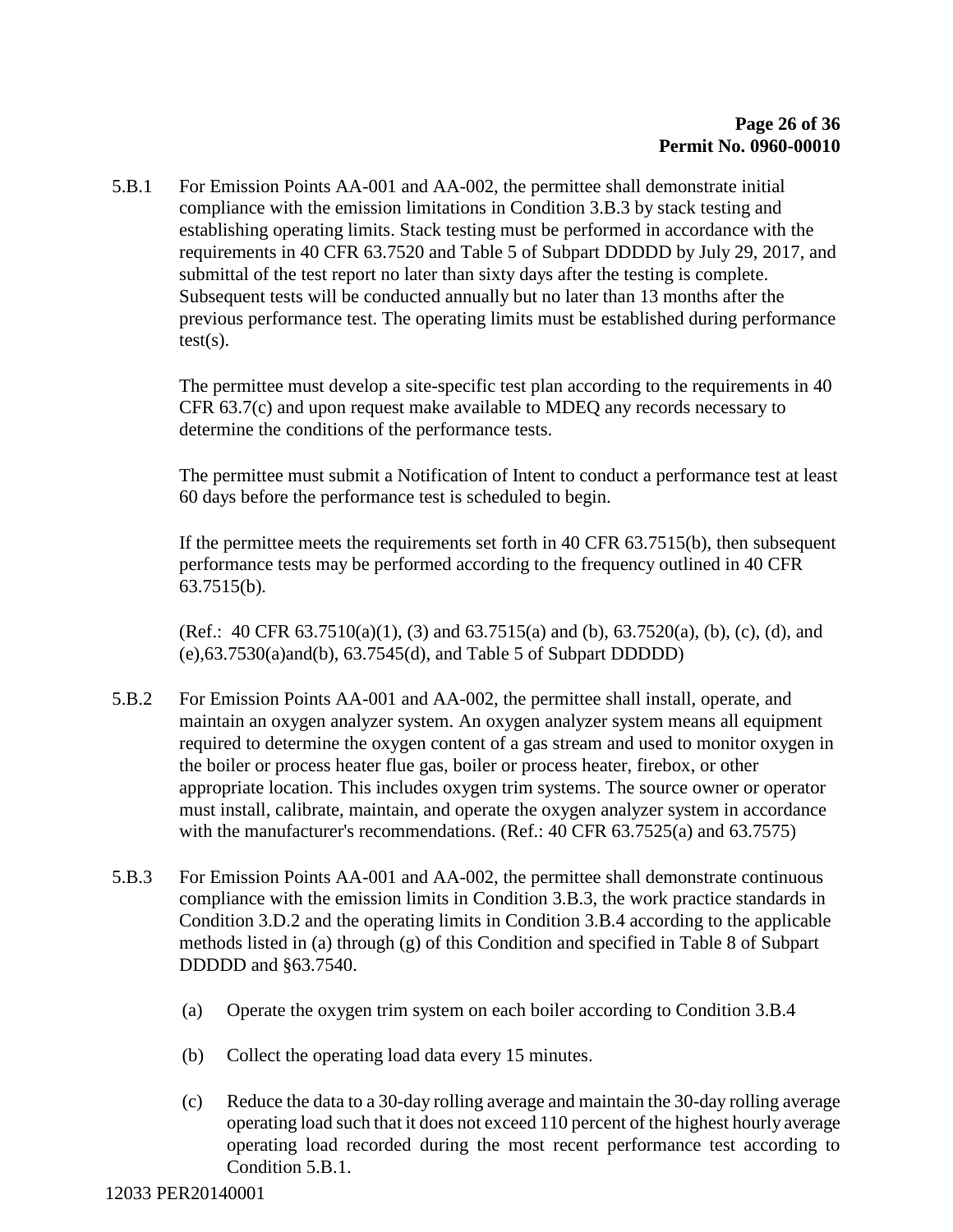5.B.1 For Emission Points AA-001 and AA-002, the permittee shall demonstrate initial compliance with the emission limitations in Condition 3.B.3 by stack testing and establishing operating limits. Stack testing must be performed in accordance with the requirements in 40 CFR 63.7520 and Table 5 of Subpart DDDDD by July 29, 2017, and submittal of the test report no later than sixty days after the testing is complete. Subsequent tests will be conducted annually but no later than 13 months after the previous performance test. The operating limits must be established during performance  $test(s)$ .

The permittee must develop a site-specific test plan according to the requirements in 40 CFR 63.7(c) and upon request make available to MDEQ any records necessary to determine the conditions of the performance tests.

The permittee must submit a Notification of Intent to conduct a performance test at least 60 days before the performance test is scheduled to begin.

If the permittee meets the requirements set forth in 40 CFR 63.7515(b), then subsequent performance tests may be performed according to the frequency outlined in 40 CFR 63.7515(b).

(Ref.: 40 CFR 63.7510(a)(1), (3) and 63.7515(a) and (b), 63.7520(a), (b), (c), (d), and (e),63.7530(a)and(b), 63.7545(d), and Table 5 of Subpart DDDDD)

- 5.B.2 For Emission Points AA-001 and AA-002, the permittee shall install, operate, and maintain an oxygen analyzer system. An oxygen analyzer system means all equipment required to determine the oxygen content of a gas stream and used to monitor oxygen in the boiler or process heater flue gas, boiler or process heater, firebox, or other appropriate location. This includes oxygen trim systems. The source owner or operator must install, calibrate, maintain, and operate the oxygen analyzer system in accordance with the manufacturer's recommendations. (Ref.: 40 CFR 63.7525(a) and 63.7575)
- 5.B.3 For Emission Points AA-001 and AA-002, the permittee shall demonstrate continuous compliance with the emission limits in Condition 3.B.3, the work practice standards in Condition 3.D.2 and the operating limits in Condition 3.B.4 according to the applicable methods listed in (a) through (g) of this Condition and specified in Table 8 of Subpart DDDDD and §63.7540.
	- (a) Operate the oxygen trim system on each boiler according to Condition 3.B.4
	- (b) Collect the operating load data every 15 minutes.
	- (c) Reduce the data to a 30-day rolling average and maintain the 30-day rolling average operating load such that it does not exceed 110 percent of the highest hourly average operating load recorded during the most recent performance test according to Condition 5.B.1.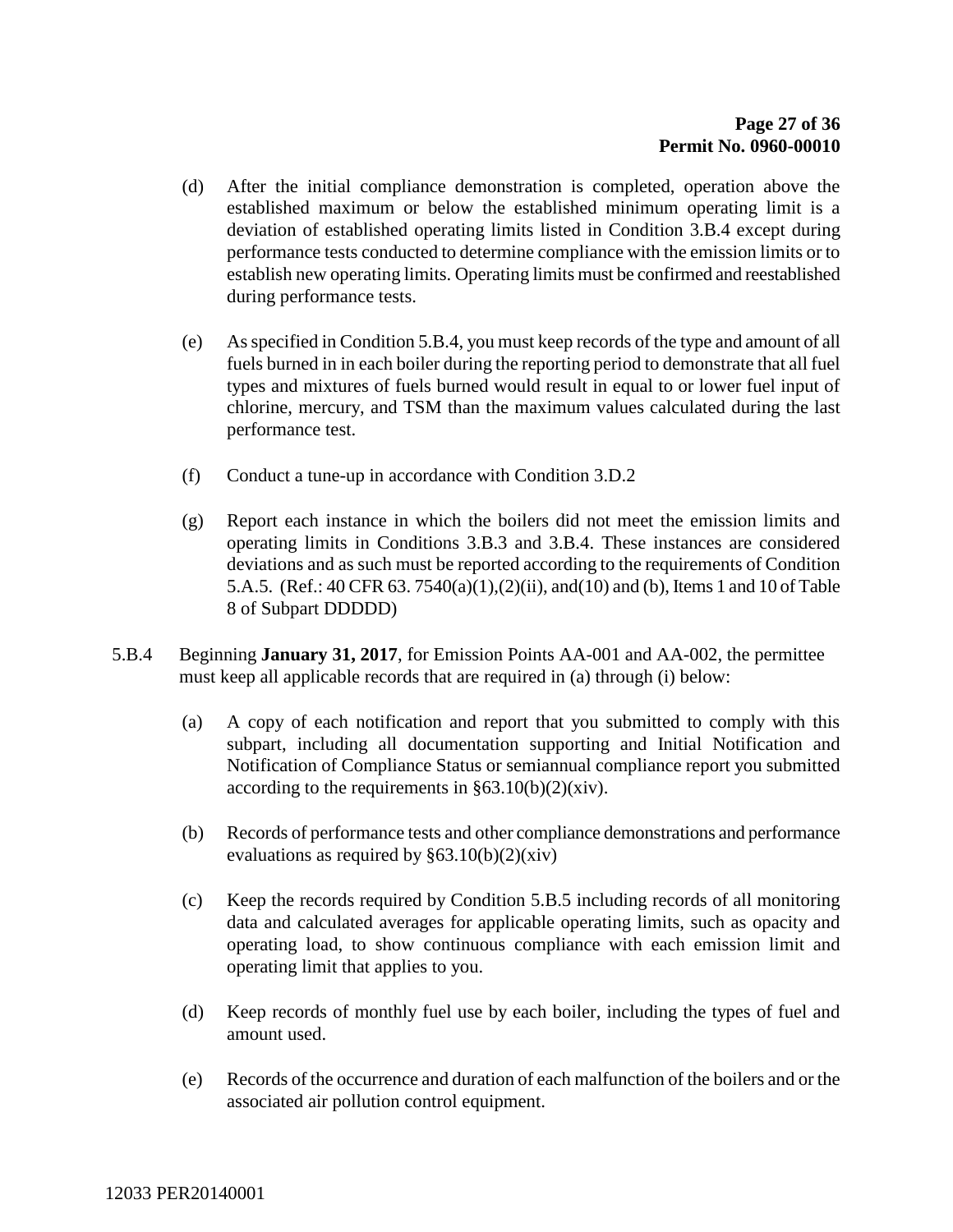- (d) After the initial compliance demonstration is completed, operation above the established maximum or below the established minimum operating limit is a deviation of established operating limits listed in Condition 3.B.4 except during performance tests conducted to determine compliance with the emission limits or to establish new operating limits. Operating limits must be confirmed and reestablished during performance tests.
- (e) As specified in Condition 5.B.4, you must keep records of the type and amount of all fuels burned in in each boiler during the reporting period to demonstrate that all fuel types and mixtures of fuels burned would result in equal to or lower fuel input of chlorine, mercury, and TSM than the maximum values calculated during the last performance test.
- (f) Conduct a tune-up in accordance with Condition 3.D.2
- (g) Report each instance in which the boilers did not meet the emission limits and operating limits in Conditions 3.B.3 and 3.B.4. These instances are considered deviations and as such must be reported according to the requirements of Condition 5.A.5. (Ref.: 40 CFR 63. 7540(a)(1),(2)(ii), and(10) and (b), Items 1 and 10 of Table 8 of Subpart DDDDD)
- 5.B.4 Beginning **January 31, 2017**, for Emission Points AA-001 and AA-002, the permittee must keep all applicable records that are required in (a) through (i) below:
	- (a) A copy of each notification and report that you submitted to comply with this subpart, including all documentation supporting and Initial Notification and Notification of Compliance Status or semiannual compliance report you submitted according to the requirements in  $\S 63.10(b)(2)(xiv)$ .
	- (b) Records of performance tests and other compliance demonstrations and performance evaluations as required by  $§63.10(b)(2)(xiv)$
	- (c) Keep the records required by Condition 5.B.5 including records of all monitoring data and calculated averages for applicable operating limits, such as opacity and operating load, to show continuous compliance with each emission limit and operating limit that applies to you.
	- (d) Keep records of monthly fuel use by each boiler, including the types of fuel and amount used.
	- (e) Records of the occurrence and duration of each malfunction of the boilers and or the associated air pollution control equipment.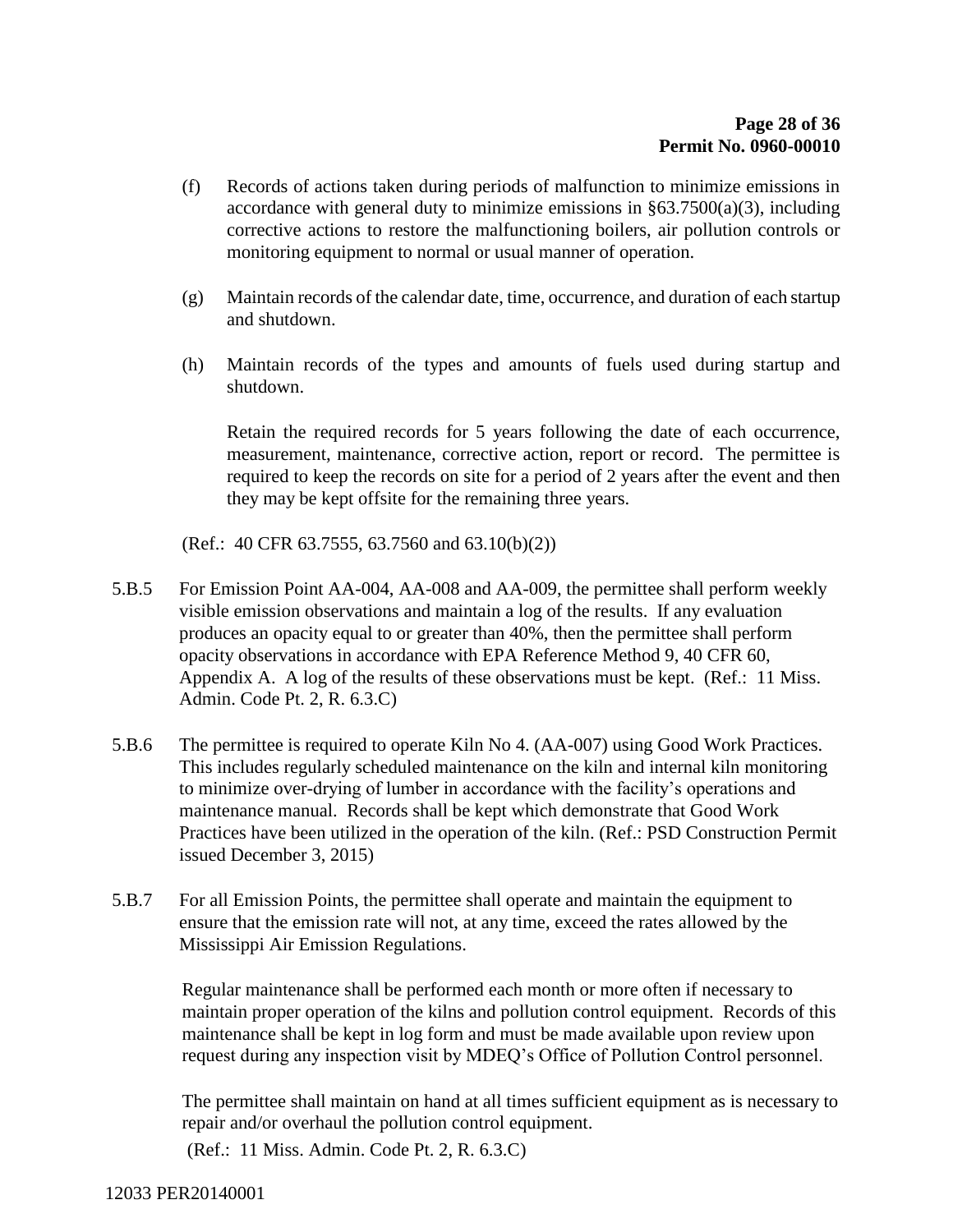- (f) Records of actions taken during periods of malfunction to minimize emissions in accordance with general duty to minimize emissions in §63.7500(a)(3), including corrective actions to restore the malfunctioning boilers, air pollution controls or monitoring equipment to normal or usual manner of operation.
- (g) Maintain records of the calendar date, time, occurrence, and duration of each startup and shutdown.
- (h) Maintain records of the types and amounts of fuels used during startup and shutdown.

Retain the required records for 5 years following the date of each occurrence, measurement, maintenance, corrective action, report or record. The permittee is required to keep the records on site for a period of 2 years after the event and then they may be kept offsite for the remaining three years.

(Ref.: 40 CFR 63.7555, 63.7560 and 63.10(b)(2))

- 5.B.5 For Emission Point AA-004, AA-008 and AA-009, the permittee shall perform weekly visible emission observations and maintain a log of the results. If any evaluation produces an opacity equal to or greater than 40%, then the permittee shall perform opacity observations in accordance with EPA Reference Method 9, 40 CFR 60, Appendix A. A log of the results of these observations must be kept. (Ref.: 11 Miss. Admin. Code Pt. 2, R. 6.3.C)
- 5.B.6 The permittee is required to operate Kiln No 4. (AA-007) using Good Work Practices. This includes regularly scheduled maintenance on the kiln and internal kiln monitoring to minimize over-drying of lumber in accordance with the facility's operations and maintenance manual. Records shall be kept which demonstrate that Good Work Practices have been utilized in the operation of the kiln. (Ref.: PSD Construction Permit issued December 3, 2015)
- 5.B.7 For all Emission Points, the permittee shall operate and maintain the equipment to ensure that the emission rate will not, at any time, exceed the rates allowed by the Mississippi Air Emission Regulations.

Regular maintenance shall be performed each month or more often if necessary to maintain proper operation of the kilns and pollution control equipment. Records of this maintenance shall be kept in log form and must be made available upon review upon request during any inspection visit by MDEQ's Office of Pollution Control personnel.

The permittee shall maintain on hand at all times sufficient equipment as is necessary to repair and/or overhaul the pollution control equipment.

(Ref.: 11 Miss. Admin. Code Pt. 2, R. 6.3.C)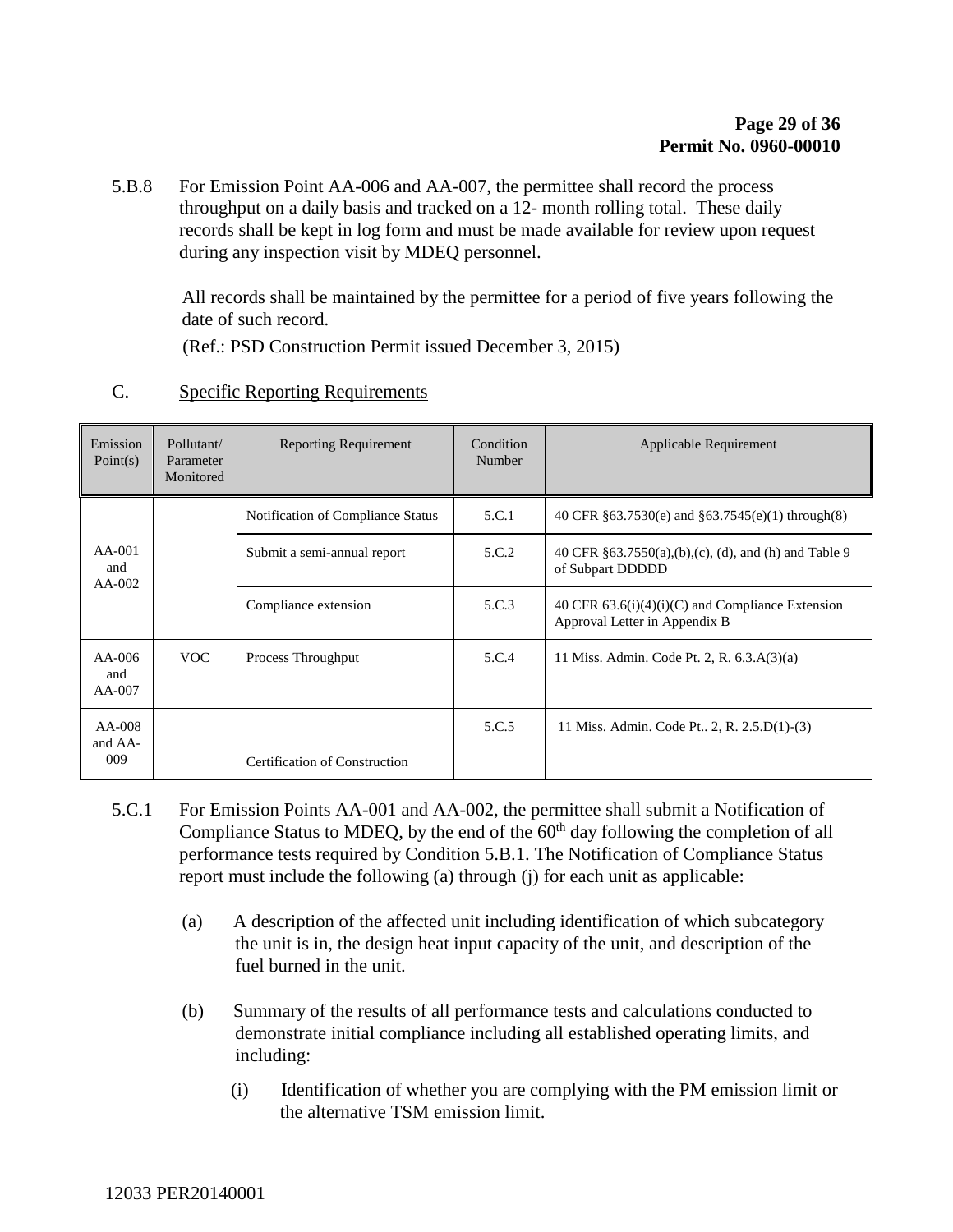5.B.8 For Emission Point AA-006 and AA-007, the permittee shall record the process throughput on a daily basis and tracked on a 12- month rolling total. These daily records shall be kept in log form and must be made available for review upon request during any inspection visit by MDEQ personnel.

All records shall be maintained by the permittee for a period of five years following the date of such record.

(Ref.: PSD Construction Permit issued December 3, 2015)

| Emission<br>Point $(s)$     | Pollutant/<br>Parameter<br>Monitored | <b>Reporting Requirement</b>      | Condition<br>Number | Applicable Requirement                                                              |
|-----------------------------|--------------------------------------|-----------------------------------|---------------------|-------------------------------------------------------------------------------------|
|                             |                                      | Notification of Compliance Status | 5.C.1               | 40 CFR §63.7530(e) and §63.7545(e)(1) through(8)                                    |
| $AA-001$<br>and<br>$AA-002$ |                                      | Submit a semi-annual report       | 5.C.2               | 40 CFR §63.7550(a),(b),(c), (d), and (h) and Table 9<br>of Subpart DDDDD            |
|                             |                                      | Compliance extension              | 5.C.3               | 40 CFR $63.6(i)(4)(i)(C)$ and Compliance Extension<br>Approval Letter in Appendix B |
| $AA-006$<br>and<br>AA-007   | <b>VOC</b>                           | Process Throughput                | 5.C.4               | 11 Miss. Admin. Code Pt. 2, R. 6.3.A(3)(a)                                          |
| AA-008<br>and AA-<br>009    |                                      |                                   | 5.C.5               | 11 Miss. Admin. Code Pt., 2, R. 2.5.D(1)-(3)                                        |
|                             |                                      | Certification of Construction     |                     |                                                                                     |

#### C. Specific Reporting Requirements

- 5.C.1 For Emission Points AA-001 and AA-002, the permittee shall submit a Notification of Compliance Status to MDEQ, by the end of the  $60<sup>th</sup>$  day following the completion of all performance tests required by Condition 5.B.1. The Notification of Compliance Status report must include the following (a) through (j) for each unit as applicable:
	- (a) A description of the affected unit including identification of which subcategory the unit is in, the design heat input capacity of the unit, and description of the fuel burned in the unit.
	- (b) Summary of the results of all performance tests and calculations conducted to demonstrate initial compliance including all established operating limits, and including:
		- (i) Identification of whether you are complying with the PM emission limit or the alternative TSM emission limit.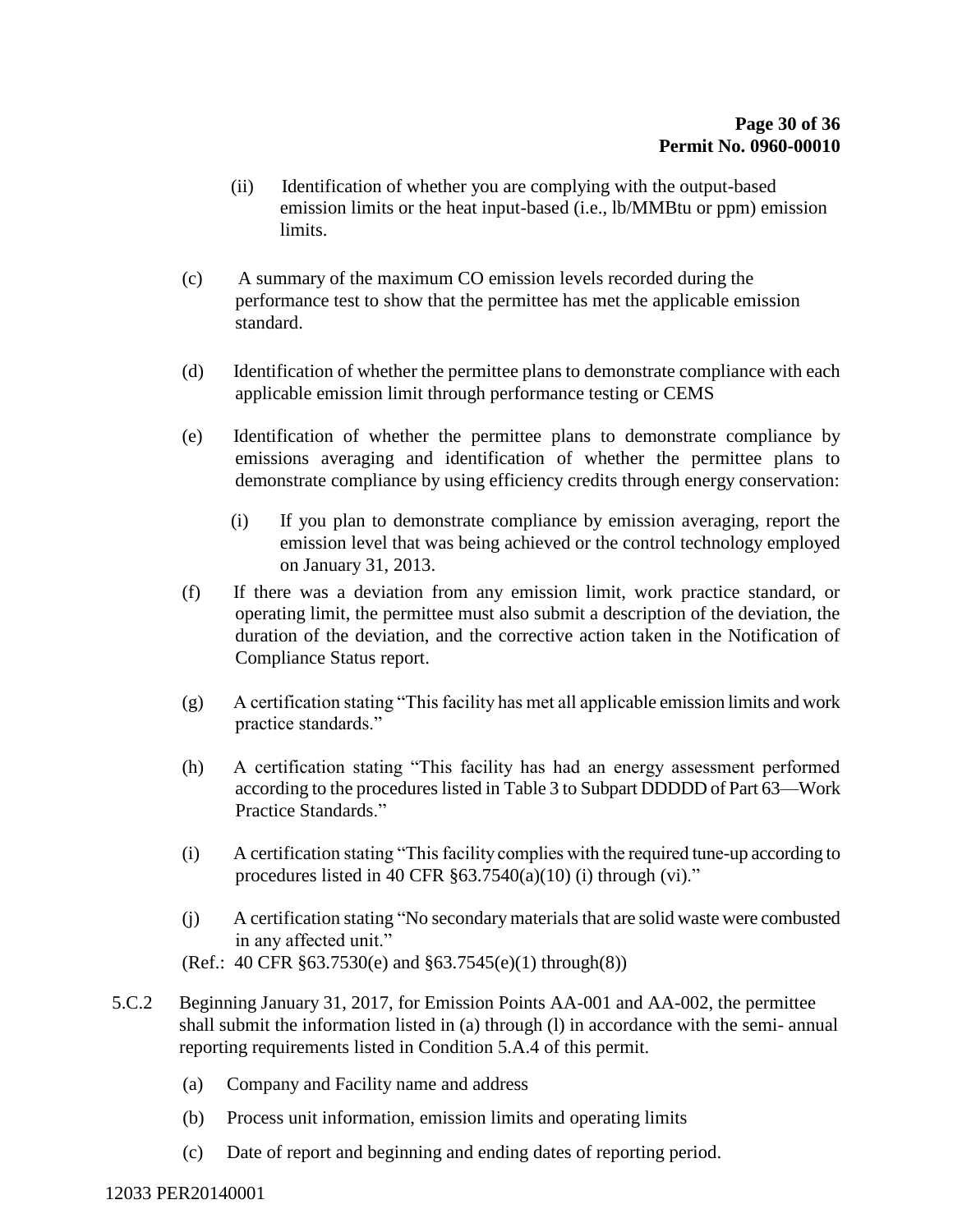- (ii) Identification of whether you are complying with the output-based emission limits or the heat input-based (i.e., lb/MMBtu or ppm) emission limits.
- (c) A summary of the maximum CO emission levels recorded during the performance test to show that the permittee has met the applicable emission standard.
- (d) Identification of whether the permittee plans to demonstrate compliance with each applicable emission limit through performance testing or CEMS
- (e) Identification of whether the permittee plans to demonstrate compliance by emissions averaging and identification of whether the permittee plans to demonstrate compliance by using efficiency credits through energy conservation:
	- (i) If you plan to demonstrate compliance by emission averaging, report the emission level that was being achieved or the control technology employed on January 31, 2013.
- (f) If there was a deviation from any emission limit, work practice standard, or operating limit, the permittee must also submit a description of the deviation, the duration of the deviation, and the corrective action taken in the Notification of Compliance Status report.
- (g) A certification stating "This facility has met all applicable emission limits and work practice standards."
- (h) A certification stating "This facility has had an energy assessment performed according to the procedures listed in Table 3 to Subpart DDDDD of Part 63—Work Practice Standards."
- (i) A certification stating "This facility complies with the required tune-up according to procedures listed in 40 CFR  $\S 63.7540(a)(10)$  (i) through (vi)."
- (j) A certification stating "No secondary materials that are solid waste were combusted in any affected unit." (Ref.: 40 CFR §63.7530(e) and §63.7545(e)(1) through(8))
- 5.C.2 Beginning January 31, 2017, for Emission Points AA-001 and AA-002, the permittee shall submit the information listed in (a) through (l) in accordance with the semi- annual reporting requirements listed in Condition 5.A.4 of this permit.
	- (a) Company and Facility name and address
	- (b) Process unit information, emission limits and operating limits
	- (c) Date of report and beginning and ending dates of reporting period.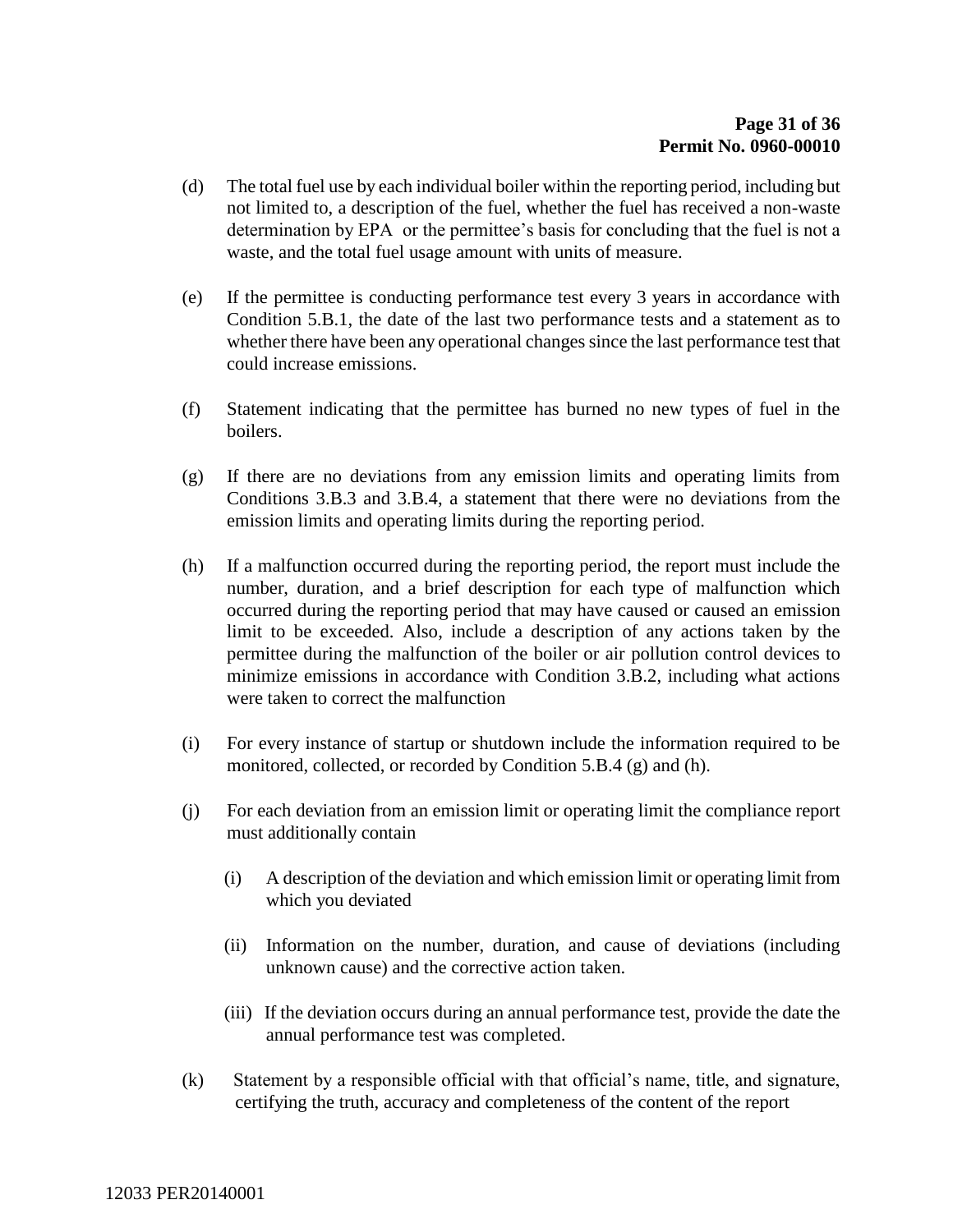- (d) The total fuel use by each individual boiler within the reporting period, including but not limited to, a description of the fuel, whether the fuel has received a non-waste determination by EPA or the permittee's basis for concluding that the fuel is not a waste, and the total fuel usage amount with units of measure.
- (e) If the permittee is conducting performance test every 3 years in accordance with Condition 5.B.1, the date of the last two performance tests and a statement as to whether there have been any operational changes since the last performance test that could increase emissions.
- (f) Statement indicating that the permittee has burned no new types of fuel in the boilers.
- (g) If there are no deviations from any emission limits and operating limits from Conditions 3.B.3 and 3.B.4, a statement that there were no deviations from the emission limits and operating limits during the reporting period.
- (h) If a malfunction occurred during the reporting period, the report must include the number, duration, and a brief description for each type of malfunction which occurred during the reporting period that may have caused or caused an emission limit to be exceeded. Also, include a description of any actions taken by the permittee during the malfunction of the boiler or air pollution control devices to minimize emissions in accordance with Condition 3.B.2, including what actions were taken to correct the malfunction
- (i) For every instance of startup or shutdown include the information required to be monitored, collected, or recorded by Condition 5.B.4 (g) and (h).
- (j) For each deviation from an emission limit or operating limit the compliance report must additionally contain
	- (i) A description of the deviation and which emission limit or operating limit from which you deviated
	- (ii) Information on the number, duration, and cause of deviations (including unknown cause) and the corrective action taken.
	- (iii) If the deviation occurs during an annual performance test, provide the date the annual performance test was completed.
- (k) Statement by a responsible official with that official's name, title, and signature, certifying the truth, accuracy and completeness of the content of the report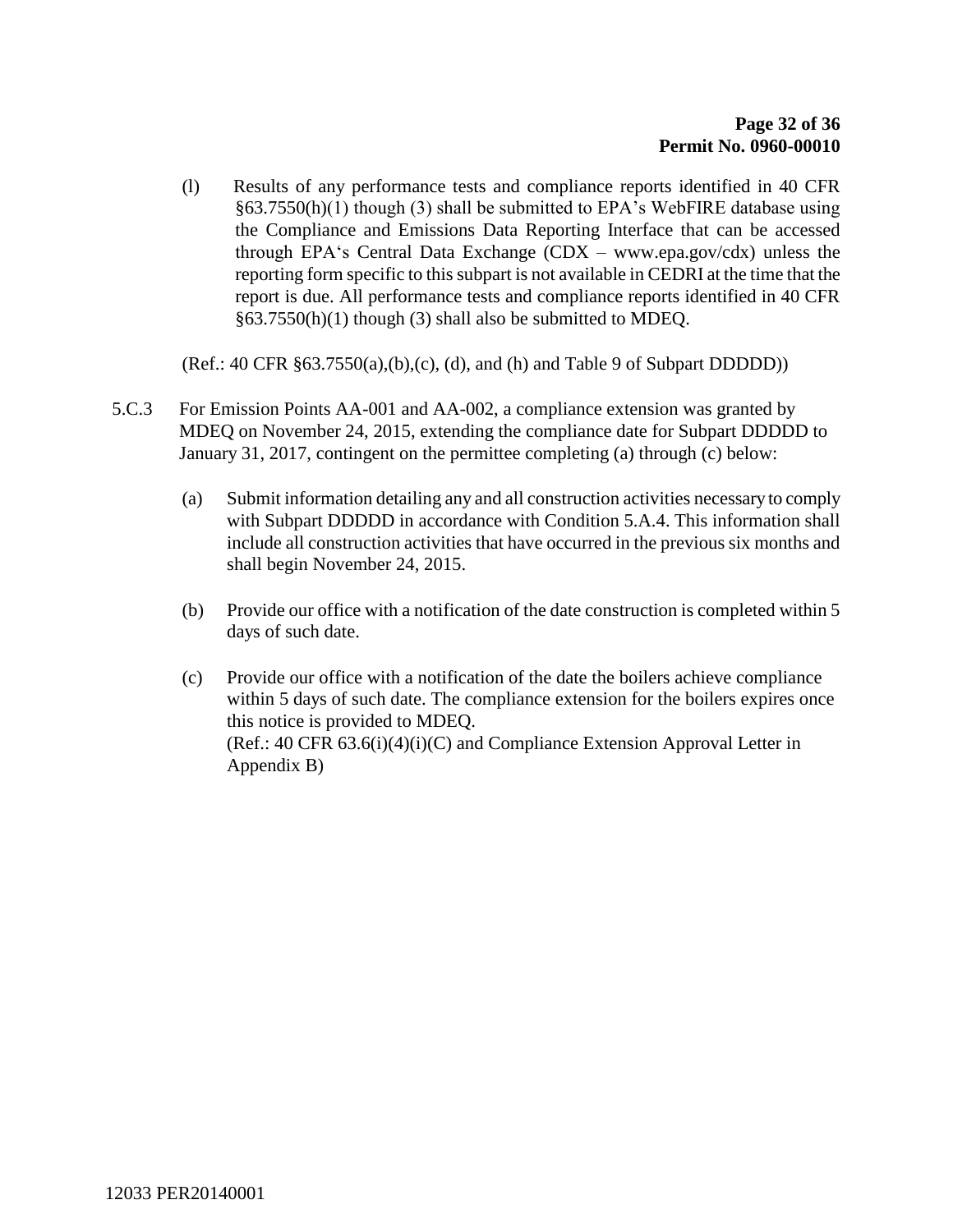(l) Results of any performance tests and compliance reports identified in 40 CFR §63.7550(h)(1) though (3) shall be submitted to EPA's WebFIRE database using the Compliance and Emissions Data Reporting Interface that can be accessed through EPA's Central Data Exchange  $(CDX - www.epa.gov/cdx)$  unless the reporting form specific to this subpart is not available in CEDRI at the time that the report is due. All performance tests and compliance reports identified in 40 CFR §63.7550(h)(1) though (3) shall also be submitted to MDEQ.

(Ref.: 40 CFR §63.7550(a),(b),(c), (d), and (h) and Table 9 of Subpart DDDDD))

- 5.C.3 For Emission Points AA-001 and AA-002, a compliance extension was granted by MDEQ on November 24, 2015, extending the compliance date for Subpart DDDDD to January 31, 2017, contingent on the permittee completing (a) through (c) below:
	- (a) Submit information detailing any and all construction activities necessary to comply with Subpart DDDDD in accordance with Condition 5.A.4. This information shall include all construction activities that have occurred in the previous six months and shall begin November 24, 2015.
	- (b) Provide our office with a notification of the date construction is completed within 5 days of such date.
	- (c) Provide our office with a notification of the date the boilers achieve compliance within 5 days of such date. The compliance extension for the boilers expires once this notice is provided to MDEQ. (Ref.: 40 CFR 63.6(i)(4)(i)(C) and Compliance Extension Approval Letter in Appendix B)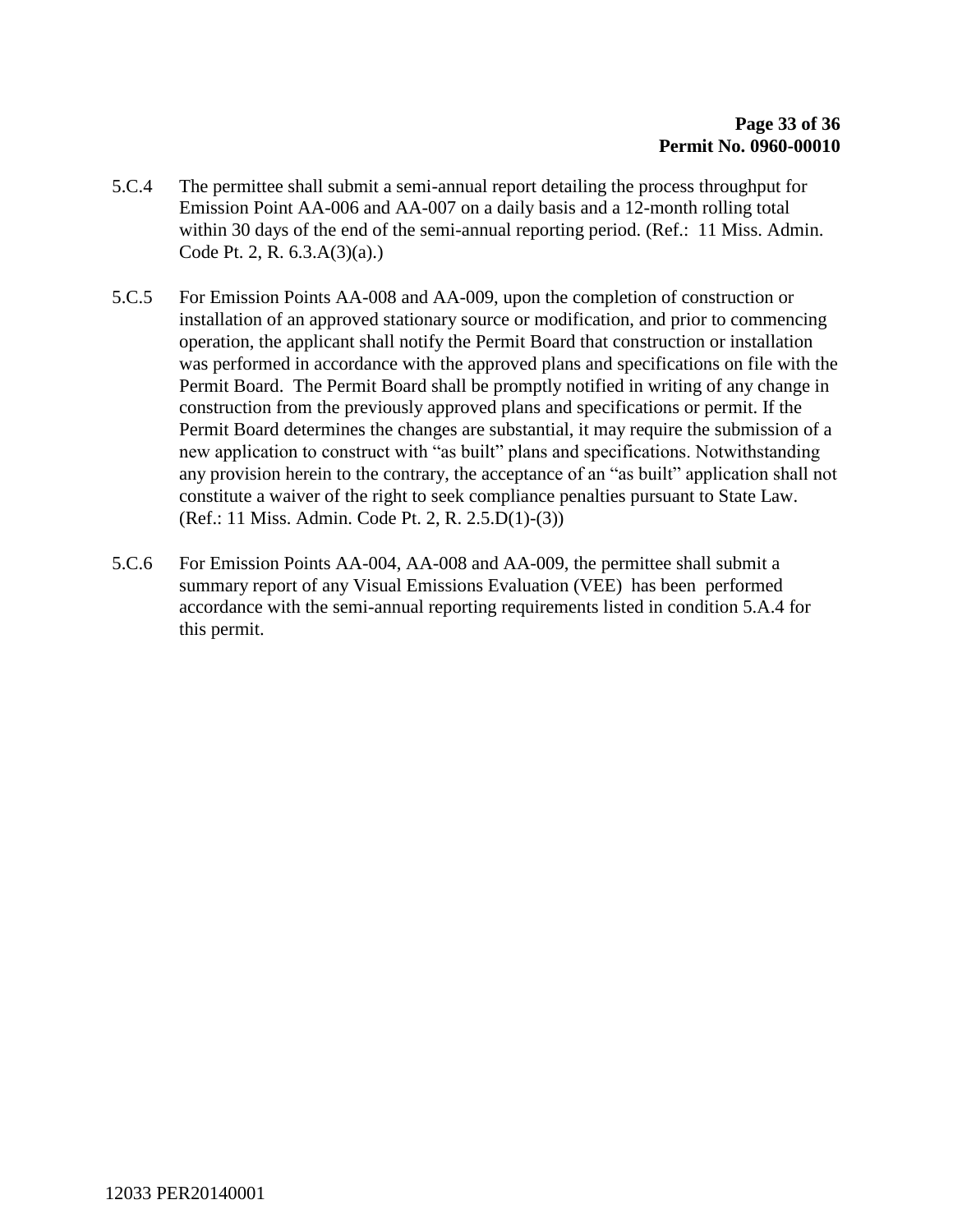- 5.C.4 The permittee shall submit a semi-annual report detailing the process throughput for Emission Point AA-006 and AA-007 on a daily basis and a 12-month rolling total within 30 days of the end of the semi-annual reporting period. (Ref.: 11 Miss. Admin. Code Pt. 2, R. 6.3.A(3)(a).)
- 5.C.5 For Emission Points AA-008 and AA-009, upon the completion of construction or installation of an approved stationary source or modification, and prior to commencing operation, the applicant shall notify the Permit Board that construction or installation was performed in accordance with the approved plans and specifications on file with the Permit Board. The Permit Board shall be promptly notified in writing of any change in construction from the previously approved plans and specifications or permit. If the Permit Board determines the changes are substantial, it may require the submission of a new application to construct with "as built" plans and specifications. Notwithstanding any provision herein to the contrary, the acceptance of an "as built" application shall not constitute a waiver of the right to seek compliance penalties pursuant to State Law. (Ref.: 11 Miss. Admin. Code Pt. 2, R. 2.5.D(1)-(3))
- 5.C.6 For Emission Points AA-004, AA-008 and AA-009, the permittee shall submit a summary report of any Visual Emissions Evaluation (VEE) has been performed accordance with the semi-annual reporting requirements listed in condition 5.A.4 for this permit.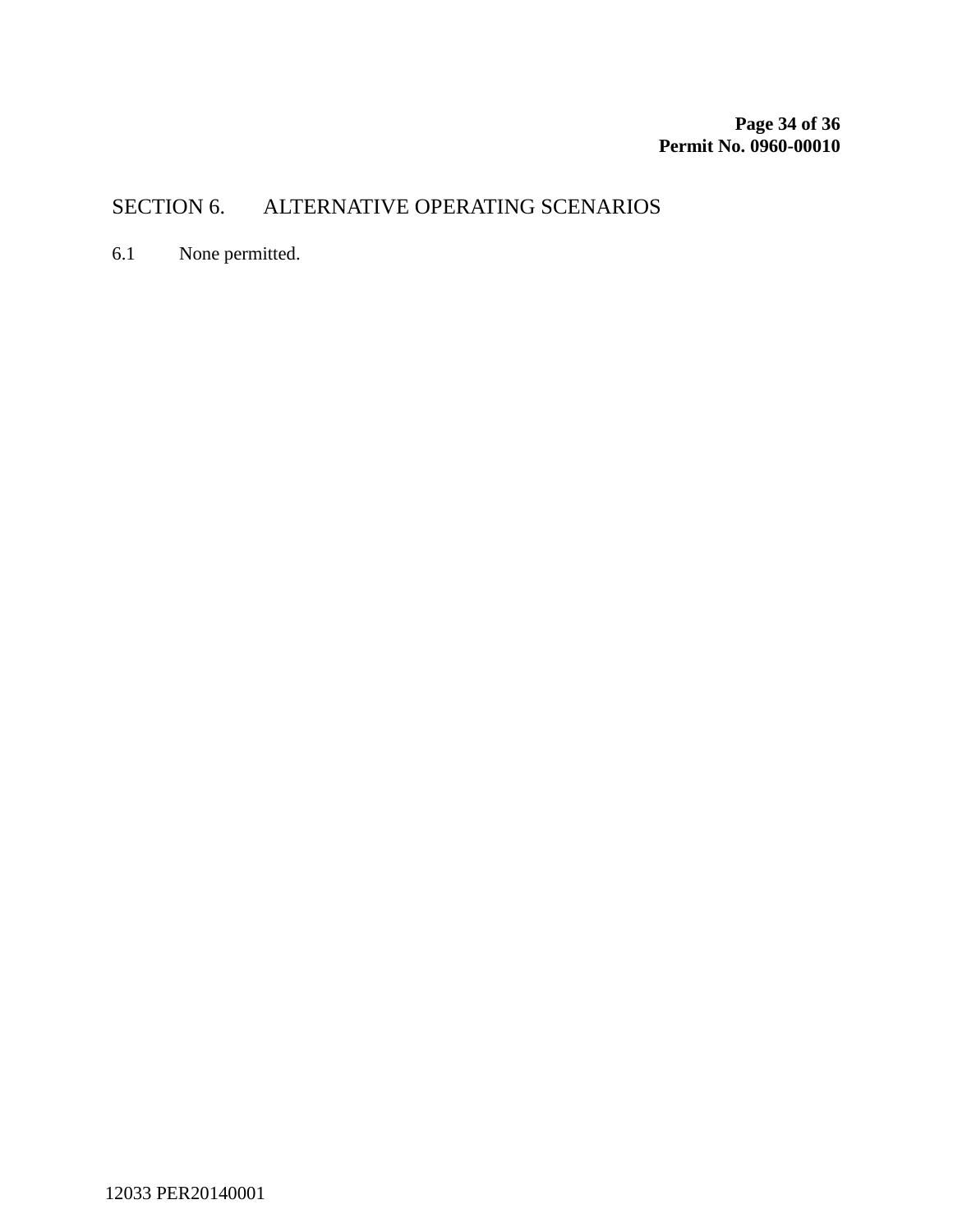# SECTION 6. ALTERNATIVE OPERATING SCENARIOS

6.1 None permitted.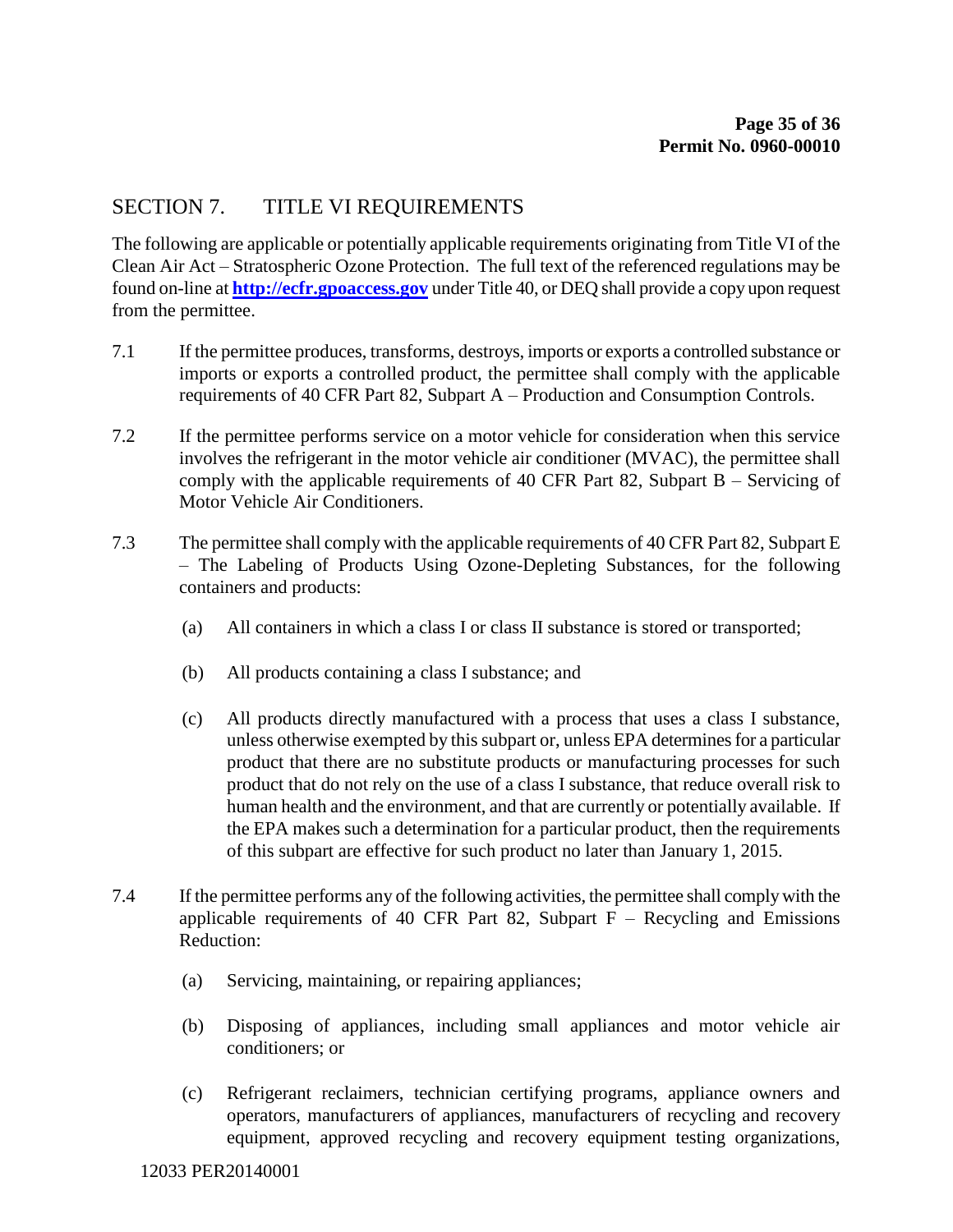### SECTION 7. TITLE VI REQUIREMENTS

The following are applicable or potentially applicable requirements originating from Title VI of the Clean Air Act – Stratospheric Ozone Protection. The full text of the referenced regulations may be found on-line at **[http://ecfr.gpoaccess.gov](http://ecfr.gpoaccess.gov/)** under Title 40, or DEQ shall provide a copy upon request from the permittee.

- 7.1 If the permittee produces, transforms, destroys, imports or exports a controlled substance or imports or exports a controlled product, the permittee shall comply with the applicable requirements of 40 CFR Part 82, Subpart A – Production and Consumption Controls.
- 7.2 If the permittee performs service on a motor vehicle for consideration when this service involves the refrigerant in the motor vehicle air conditioner (MVAC), the permittee shall comply with the applicable requirements of 40 CFR Part 82, Subpart B – Servicing of Motor Vehicle Air Conditioners.
- 7.3 The permittee shall comply with the applicable requirements of 40 CFR Part 82, Subpart E – The Labeling of Products Using Ozone-Depleting Substances, for the following containers and products:
	- (a) All containers in which a class I or class II substance is stored or transported;
	- (b) All products containing a class I substance; and
	- (c) All products directly manufactured with a process that uses a class I substance, unless otherwise exempted by this subpart or, unless EPA determines for a particular product that there are no substitute products or manufacturing processes for such product that do not rely on the use of a class I substance, that reduce overall risk to human health and the environment, and that are currently or potentially available. If the EPA makes such a determination for a particular product, then the requirements of this subpart are effective for such product no later than January 1, 2015.
- 7.4 If the permittee performs any of the following activities, the permittee shall comply with the applicable requirements of 40 CFR Part 82, Subpart  $F -$  Recycling and Emissions Reduction:
	- (a) Servicing, maintaining, or repairing appliances;
	- (b) Disposing of appliances, including small appliances and motor vehicle air conditioners; or
	- (c) Refrigerant reclaimers, technician certifying programs, appliance owners and operators, manufacturers of appliances, manufacturers of recycling and recovery equipment, approved recycling and recovery equipment testing organizations,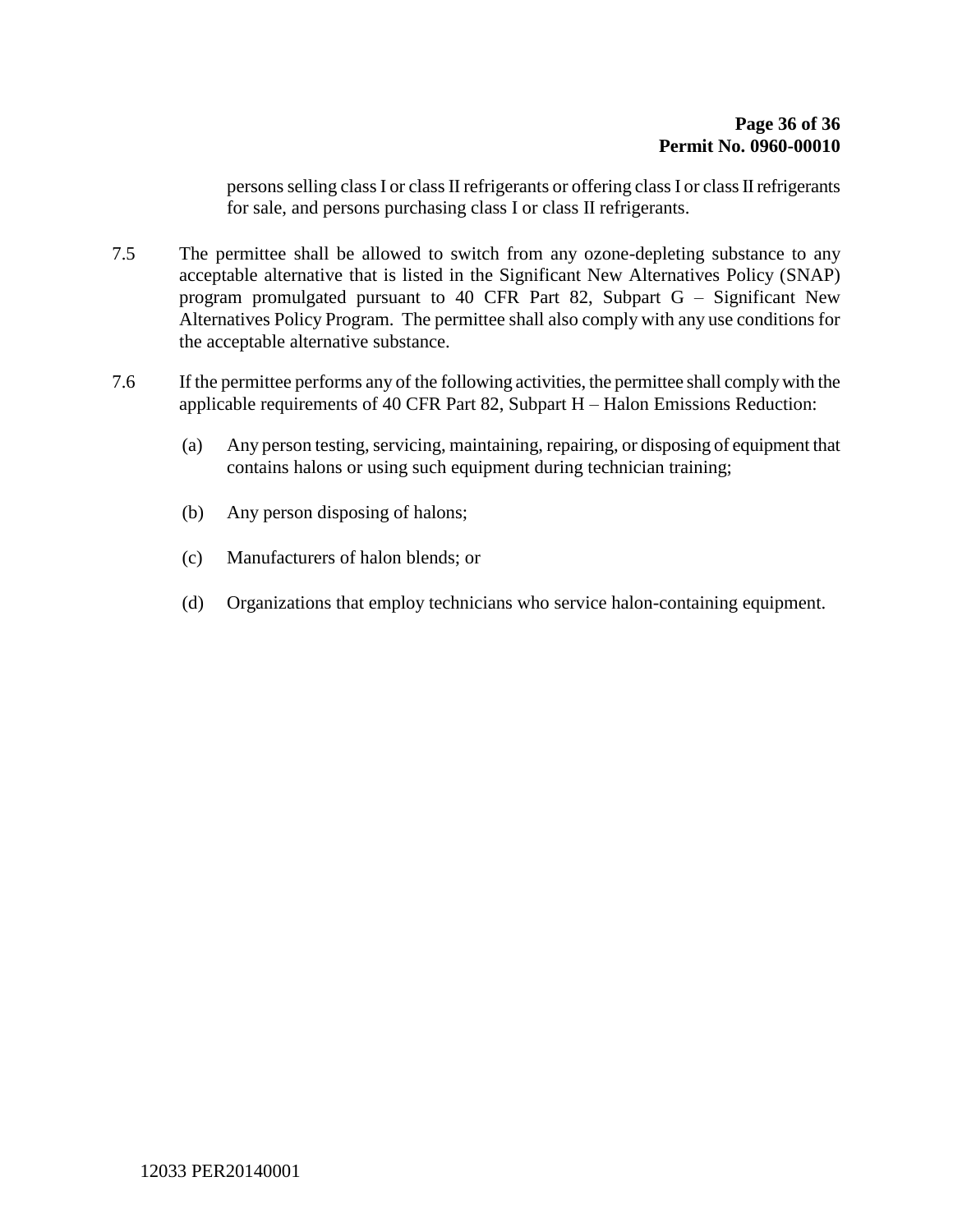persons selling class I or class II refrigerants or offering class I or class II refrigerants for sale, and persons purchasing class I or class II refrigerants.

- 7.5 The permittee shall be allowed to switch from any ozone-depleting substance to any acceptable alternative that is listed in the Significant New Alternatives Policy (SNAP) program promulgated pursuant to 40 CFR Part 82, Subpart G – Significant New Alternatives Policy Program. The permittee shall also comply with any use conditions for the acceptable alternative substance.
- <span id="page-35-0"></span>7.6 If the permittee performs any of the following activities, the permittee shall comply with the applicable requirements of 40 CFR Part 82, Subpart H – Halon Emissions Reduction:
	- (a) Any person testing, servicing, maintaining, repairing, or disposing of equipment that contains halons or using such equipment during technician training;
	- (b) Any person disposing of halons;
	- (c) Manufacturers of halon blends; or
	- (d) Organizations that employ technicians who service halon-containing equipment.